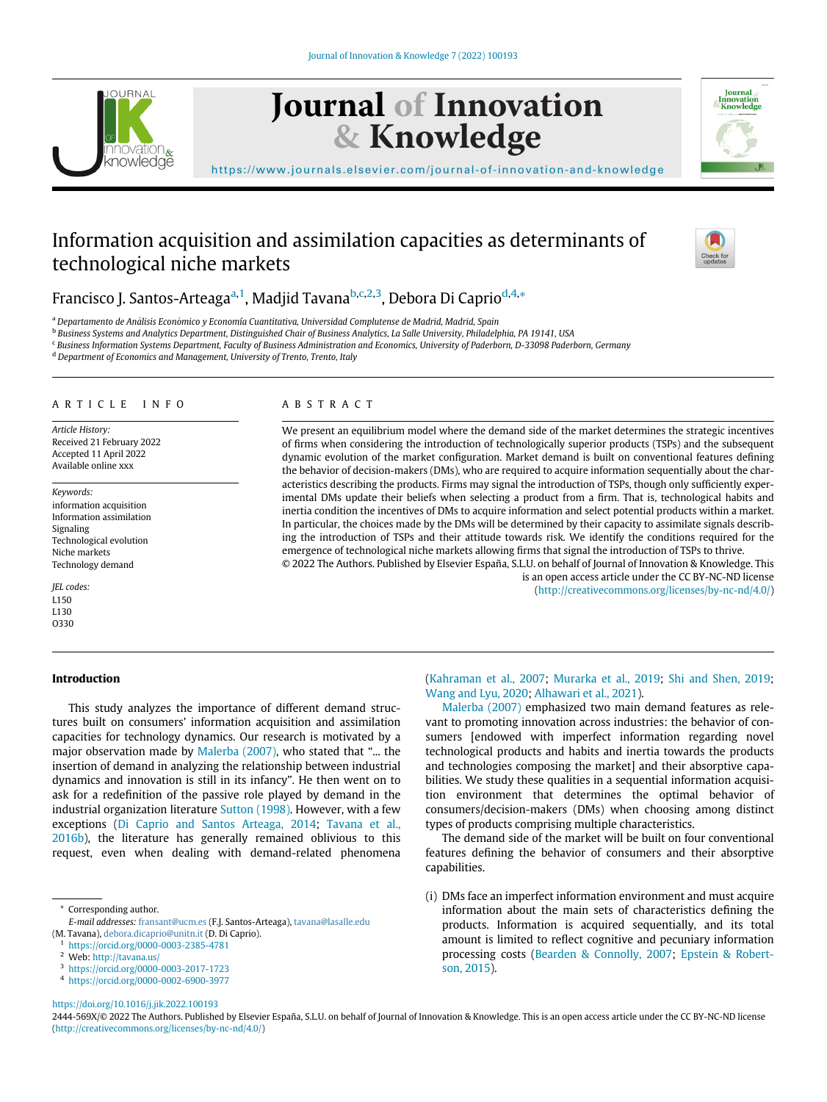

# Journal of Innovation & Knowledge



[https://www.journals.elsevier.com/journal-of-innovation-and-knowledge](http://https://www.journals.elsevier.com/journal-of-innovation-and-knowledge)

## Information acquisition and assimilation capacities as determinants of technological niche markets



## Fr[a](#page-0-0)ncisco J. Santos-Arteaga<sup>a[,1](#page-0-1)</sup>, Madjid Tavana<sup>b,[c](#page-0-3)[,2](#page-0-4)[,3](#page-0-5)</sup>, Debora Di Caprio<sup>[d](#page-0-6),[4](#page-0-7),</sup>[\\*](#page-0-8)

<span id="page-0-0"></span><sup>a</sup> Departamento de Análisis Económico y Economía Cuantitativa, Universidad Complutense de Madrid, Madrid, Spain

<span id="page-0-2"></span>**b Business Systems and Analytics Department, Distinguished Chair of Business Analytics, La Salle University, Philadelphia, PA 19141, USA** 

<span id="page-0-3"></span><sup>c</sup> Business Information Systems Department, Faculty of Business Administration and Economics, University of Paderborn, D-33098 Paderborn, Germany

ABSTRACT

<span id="page-0-6"></span><sup>d</sup> Department of Economics and Management, University of Trento, Trento, Italy

#### ARTICLE INFO

Article History: Received 21 February 2022 Accepted 11 April 2022 Available online xxx

Keywords: information acquisition Information assimilation Signaling Technological evolution Niche markets Technology demand

JEL codes: L150 L130 O330

#### Introduction

### This study analyzes the importance of different demand structures built on consumers' information acquisition and assimilation capacities for technology dynamics. Our research is motivated by a major observation made by [Malerba \(2007\),](#page-11-0) who stated that "... the insertion of demand in analyzing the relationship between industrial dynamics and innovation is still in its infancy". He then went on to ask for a redefinition of the passive role played by demand in the industrial organization literature [Sutton \(1998\).](#page-12-0) However, with a few exceptions ([Di Caprio and Santos Arteaga, 2014;](#page-11-1) [Tavana et al.,](#page-12-1) [2016b](#page-12-1)), the literature has generally remained oblivious to this request, even when dealing with demand-related phenomena

Corresponding author.

<span id="page-0-4"></span><span id="page-0-1"></span><sup>1</sup> <https://orcid.org/0000-0003-2385-4781>

- <span id="page-0-5"></span><sup>3</sup> <https://orcid.org/0000-0003-2017-1723>
- <sup>4</sup> <https://orcid.org/0000-0002-6900-3977>

We present an equilibrium model where the demand side of the market determines the strategic incentives of firms when considering the introduction of technologically superior products (TSPs) and the subsequent dynamic evolution of the market configuration. Market demand is built on conventional features defining the behavior of decision-makers (DMs), who are required to acquire information sequentially about the characteristics describing the products. Firms may signal the introduction of TSPs, though only sufficiently experimental DMs update their beliefs when selecting a product from a firm. That is, technological habits and inertia condition the incentives of DMs to acquire information and select potential products within a market. In particular, the choices made by the DMs will be determined by their capacity to assimilate signals describing the introduction of TSPs and their attitude towards risk. We identify the conditions required for the emergence of technological niche markets allowing firms that signal the introduction of TSPs to thrive. © 2022 The Authors. Published by Elsevier España, S.L.U. on behalf of Journal of Innovation & Knowledge. This

> [\(Kahraman et al., 2007;](#page-11-2) [Murarka et al., 2019;](#page-11-3) [Shi and Shen, 2019;](#page-11-4) [Wang and Lyu, 2020;](#page-12-2) [Alhawari et al., 2021](#page-11-5)).

is an open access article under the CC BY-NC-ND license (<http://creativecommons.org/licenses/by-nc-nd/4.0/>)

[Malerba \(2007\)](#page-11-0) emphasized two main demand features as relevant to promoting innovation across industries: the behavior of consumers [endowed with imperfect information regarding novel technological products and habits and inertia towards the products and technologies composing the market] and their absorptive capabilities. We study these qualities in a sequential information acquisition environment that determines the optimal behavior of consumers/decision-makers (DMs) when choosing among distinct types of products comprising multiple characteristics.

The demand side of the market will be built on four conventional features defining the behavior of consumers and their absorptive capabilities.

(i) DMs face an imperfect information environment and must acquire information about the main sets of characteristics defining the products. Information is acquired sequentially, and its total amount is limited to reflect cognitive and pecuniary information processing costs ([Bearden & Connolly, 2007](#page-11-6); [Epstein & Robert](#page-11-7)[son, 2015](#page-11-7)).

<span id="page-0-7"></span><https://doi.org/10.1016/j.jik.2022.100193>

2444-569X/© 2022 The Authors. Published by Elsevier España, S.L.U. on behalf of Journal of Innovation & Knowledge. This is an open access article under the CC BY-NC-ND license ([http://creativecommons.org/licenses/by-nc-nd/4.0/\)](http://creativecommons.org/licenses/by-nc-nd/4.0/)

<span id="page-0-8"></span>E-mail addresses: [fransant@ucm.es](mailto:fransant@ucm.es) (F.J. Santos-Arteaga), [tavana@lasalle.edu](mailto:tavana@lasalle.edu) (M. Tavana), [debora.dicaprio@unitn.it](mailto:debora.dicaprio@unitn.it) (D. Di Caprio).

<sup>2</sup> Web: <http://tavana.us/>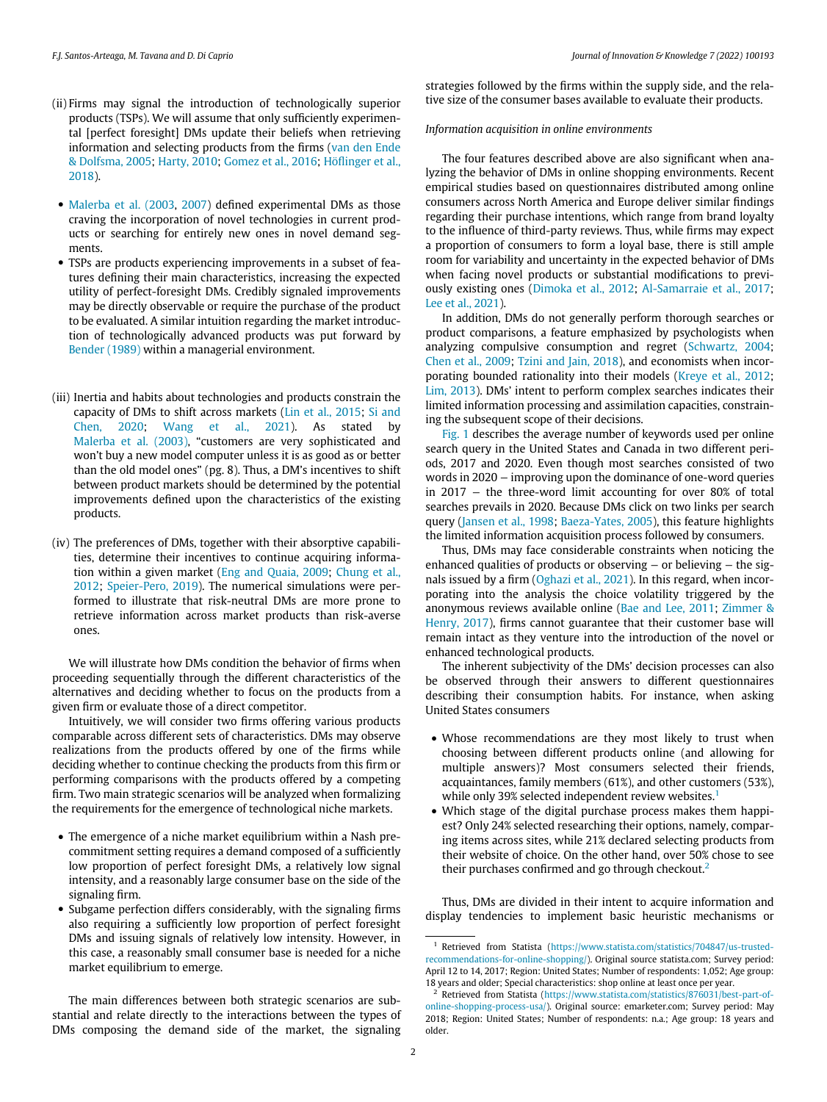- (ii) Firms may signal the introduction of technologically superior products (TSPs). We will assume that only sufficiently experimental [perfect foresight] DMs update their beliefs when retrieving information and selecting products from the firms ([van den Ende](#page-12-3) [& Dolfsma, 2005](#page-12-3); [Harty, 2010;](#page-11-8) [Gomez et al., 2016](#page-11-9); [H](#page-11-10)o€fl[inger et al.,](#page-11-10) [2018\)](#page-11-10).
- [Malerba et al. \(2003,](#page-11-11) [2007](#page-11-12)) defined experimental DMs as those craving the incorporation of novel technologies in current products or searching for entirely new ones in novel demand segments.
- TSPs are products experiencing improvements in a subset of features defining their main characteristics, increasing the expected utility of perfect-foresight DMs. Credibly signaled improvements may be directly observable or require the purchase of the product to be evaluated. A similar intuition regarding the market introduction of technologically advanced products was put forward by [Bender \(1989\)](#page-11-13) within a managerial environment.
- (iii) Inertia and habits about technologies and products constrain the capacity of DMs to shift across markets [\(Lin et al., 2015](#page-11-14); [Si and](#page-12-4) [Chen, 2020](#page-12-4); [Wang et al., 2021](#page-12-5)). As stated by [Malerba et al. \(2003\)](#page-11-11), "customers are very sophisticated and won't buy a new model computer unless it is as good as or better than the old model ones" (pg. 8). Thus, a DM's incentives to shift between product markets should be determined by the potential improvements defined upon the characteristics of the existing products.
- (iv) The preferences of DMs, together with their absorptive capabilities, determine their incentives to continue acquiring information within a given market [\(Eng and Quaia, 2009;](#page-11-15) [Chung et al.,](#page-11-16) [2012](#page-11-16); [Speier-Pero, 2019\)](#page-12-6). The numerical simulations were performed to illustrate that risk-neutral DMs are more prone to retrieve information across market products than risk-averse ones.

We will illustrate how DMs condition the behavior of firms when proceeding sequentially through the different characteristics of the alternatives and deciding whether to focus on the products from a given firm or evaluate those of a direct competitor.

Intuitively, we will consider two firms offering various products comparable across different sets of characteristics. DMs may observe realizations from the products offered by one of the firms while deciding whether to continue checking the products from this firm or performing comparisons with the products offered by a competing firm. Two main strategic scenarios will be analyzed when formalizing the requirements for the emergence of technological niche markets.

- The emergence of a niche market equilibrium within a Nash precommitment setting requires a demand composed of a sufficiently low proportion of perfect foresight DMs, a relatively low signal intensity, and a reasonably large consumer base on the side of the signaling firm.
- <span id="page-1-0"></span> Subgame perfection differs considerably, with the signaling firms also requiring a sufficiently low proportion of perfect foresight DMs and issuing signals of relatively low intensity. However, in this case, a reasonably small consumer base is needed for a niche market equilibrium to emerge.

<span id="page-1-1"></span>The main differences between both strategic scenarios are substantial and relate directly to the interactions between the types of DMs composing the demand side of the market, the signaling

strategies followed by the firms within the supply side, and the relative size of the consumer bases available to evaluate their products.

#### Information acquisition in online environments

The four features described above are also significant when analyzing the behavior of DMs in online shopping environments. Recent empirical studies based on questionnaires distributed among online consumers across North America and Europe deliver similar findings regarding their purchase intentions, which range from brand loyalty to the influence of third-party reviews. Thus, while firms may expect a proportion of consumers to form a loyal base, there is still ample room for variability and uncertainty in the expected behavior of DMs when facing novel products or substantial modifications to previously existing ones ([Dimoka et al., 2012;](#page-11-17) [Al-Samarraie et al., 2017;](#page-11-18) [Lee et al., 2021\)](#page-11-19).

In addition, DMs do not generally perform thorough searches or product comparisons, a feature emphasized by psychologists when analyzing compulsive consumption and regret ([Schwartz, 2004;](#page-11-20) [Chen et al., 2009;](#page-11-21) [Tzini and Jain, 2018\)](#page-12-7), and economists when incorporating bounded rationality into their models ([Kreye et al., 2012;](#page-11-22) [Lim, 2013\)](#page-11-23). DMs' intent to perform complex searches indicates their limited information processing and assimilation capacities, constraining the subsequent scope of their decisions.

[Fig. 1](#page-2-0) describes the average number of keywords used per online search query in the United States and Canada in two different periods, 2017 and 2020. Even though most searches consisted of two words in 2020 – improving upon the dominance of one-word queries in 2017 − the three-word limit accounting for over 80% of total searches prevails in 2020. Because DMs click on two links per search query ([Jansen et al., 1998](#page-11-24); [Baeza-Yates, 2005](#page-11-25)), this feature highlights the limited information acquisition process followed by consumers.

Thus, DMs may face considerable constraints when noticing the enhanced qualities of products or observing – or believing – the signals issued by a firm [\(Oghazi et al., 2021](#page-11-26)). In this regard, when incorporating into the analysis the choice volatility triggered by the anonymous reviews available online [\(Bae and Lee, 2011;](#page-11-27) [Zimmer &](#page-12-8) [Henry, 2017](#page-12-8)), firms cannot guarantee that their customer base will remain intact as they venture into the introduction of the novel or enhanced technological products.

The inherent subjectivity of the DMs' decision processes can also be observed through their answers to different questionnaires describing their consumption habits. For instance, when asking United States consumers

- Whose recommendations are they most likely to trust when choosing between different products online (and allowing for multiple answers)? Most consumers selected their friends, acquaintances, family members (61%), and other customers (53%), while only 39% selected independent review websites.<sup>[1](#page-1-0)</sup>
- Which stage of the digital purchase process makes them happiest? Only 24% selected researching their options, namely, comparing items across sites, while 21% declared selecting products from their website of choice. On the other hand, over 50% chose to see their purchases confirmed and go through checkout.<sup>[2](#page-1-1)</sup>

Thus, DMs are divided in their intent to acquire information and display tendencies to implement basic heuristic mechanisms or

<sup>1</sup> Retrieved from Statista ([https://www.statista.com/statistics/704847/us-trusted](https://www.statista.com/statistics/704847/us-trusted-recommendations-for-online-shopping/)[recommendations-for-online-shopping/\)](https://www.statista.com/statistics/704847/us-trusted-recommendations-for-online-shopping/). Original source statista.com; Survey period: April 12 to 14, 2017; Region: United States; Number of respondents: 1,052; Age group: 18 years and older; Special characteristics: shop online at least once per year.

Retrieved from Statista [\(https://www.statista.com/statistics/876031/best-part-of](https://www.statista.com/statistics/876031/best-part-of-online-shopping-process-usa/)[online-shopping-process-usa/\)](https://www.statista.com/statistics/876031/best-part-of-online-shopping-process-usa/). Original source: emarketer.com; Survey period: May 2018; Region: United States; Number of respondents: n.a.; Age group: 18 years and older.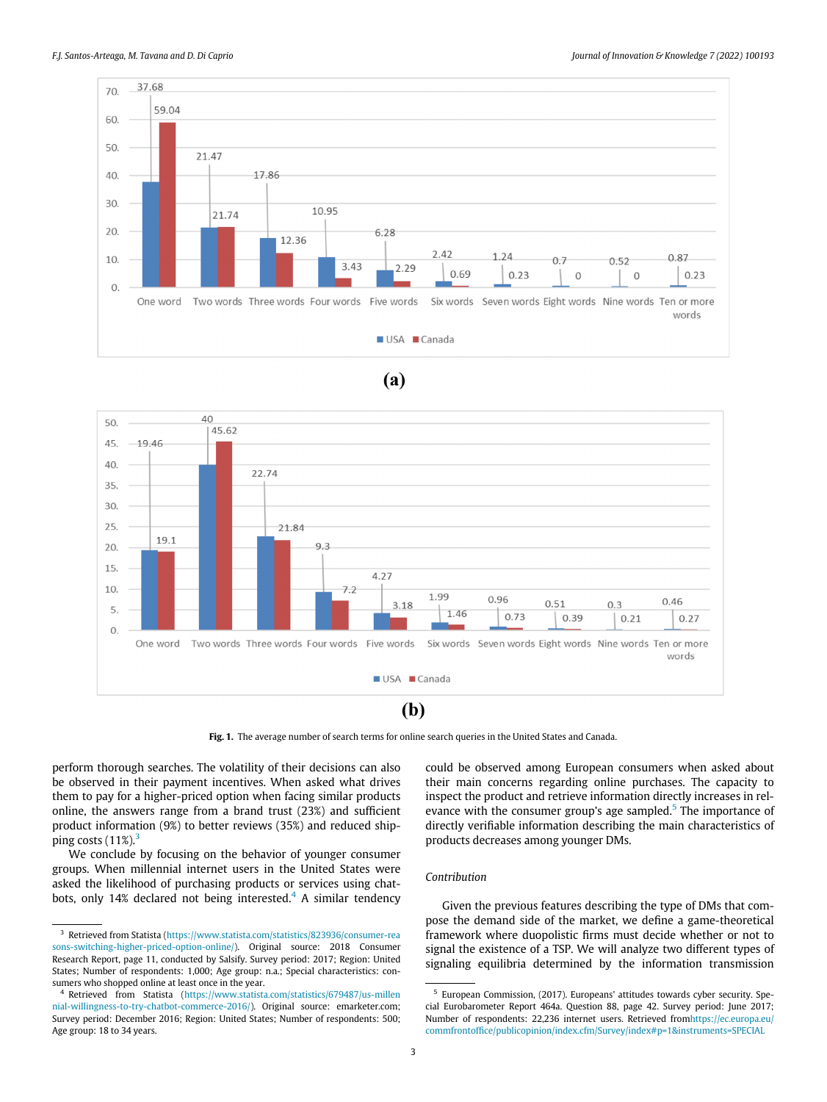<span id="page-2-0"></span>

### $(a)$



Fig. 1. The average number of search terms for online search queries in the United States and Canada.

perform thorough searches. The volatility of their decisions can also be observed in their payment incentives. When asked what drives them to pay for a higher-priced option when facing similar products online, the answers range from a brand trust (23%) and sufficient product information (9%) to better reviews (35%) and reduced shipping costs  $(11\%)$ <sup>[3](#page-2-1)</sup>

We conclude by focusing on the behavior of younger consumer groups. When millennial internet users in the United States were asked the likelihood of purchasing products or services using chat-bots, only 1[4](#page-2-2)% declared not being interested.<sup>4</sup> A similar tendency could be observed among European consumers when asked about their main concerns regarding online purchases. The capacity to inspect the product and retrieve information directly increases in rel-evance with the consumer group's age sampled.<sup>[5](#page-2-3)</sup> The importance of directly verifiable information describing the main characteristics of products decreases among younger DMs.

#### Contribution

Given the previous features describing the type of DMs that compose the demand side of the market, we define a game-theoretical framework where duopolistic firms must decide whether or not to signal the existence of a TSP. We will analyze two different types of signaling equilibria determined by the information transmission

<span id="page-2-1"></span><sup>3</sup> Retrieved from Statista [\(https://www.statista.com/statistics/823936/consumer-rea](https://www.statista.com/statistics/823936/consumer-reasons-switching-higher-priced-option-online/) [sons-switching-higher-priced-option-online/\)](https://www.statista.com/statistics/823936/consumer-reasons-switching-higher-priced-option-online/). Original source: 2018 Consumer Research Report, page 11, conducted by Salsify. Survey period: 2017; Region: United States; Number of respondents: 1,000; Age group: n.a.; Special characteristics: consumers who shopped online at least once in the year.

<span id="page-2-3"></span><span id="page-2-2"></span><sup>4</sup> Retrieved from Statista ([https://www.statista.com/statistics/679487/us-millen](https://www.statista.com/statistics/679487/us-millennial-willingness-to-try-chatbot-commerce-2016/) [nial-willingness-to-try-chatbot-commerce-2016/](https://www.statista.com/statistics/679487/us-millennial-willingness-to-try-chatbot-commerce-2016/)). Original source: emarketer.com; Survey period: December 2016; Region: United States; Number of respondents: 500; Age group: 18 to 34 years.

<sup>5</sup> European Commission, (2017). Europeans' attitudes towards cyber security. Special Eurobarometer Report 464a. Question 88, page 42. Survey period: June 2017; Number of respondents: 22,236 internet users. Retrieved fro[mhttps://ec.europa.eu/](https://ec.europa.eu/commfrontoffice/publicopinion/index.cfm/Survey/index#p=1&instruments=SPECIAL) commfrontoffi[ce/publicopinion/index.cfm/Survey/index#p=1&instruments=SPECIAL](https://ec.europa.eu/commfrontoffice/publicopinion/index.cfm/Survey/index#p=1&instruments=SPECIAL)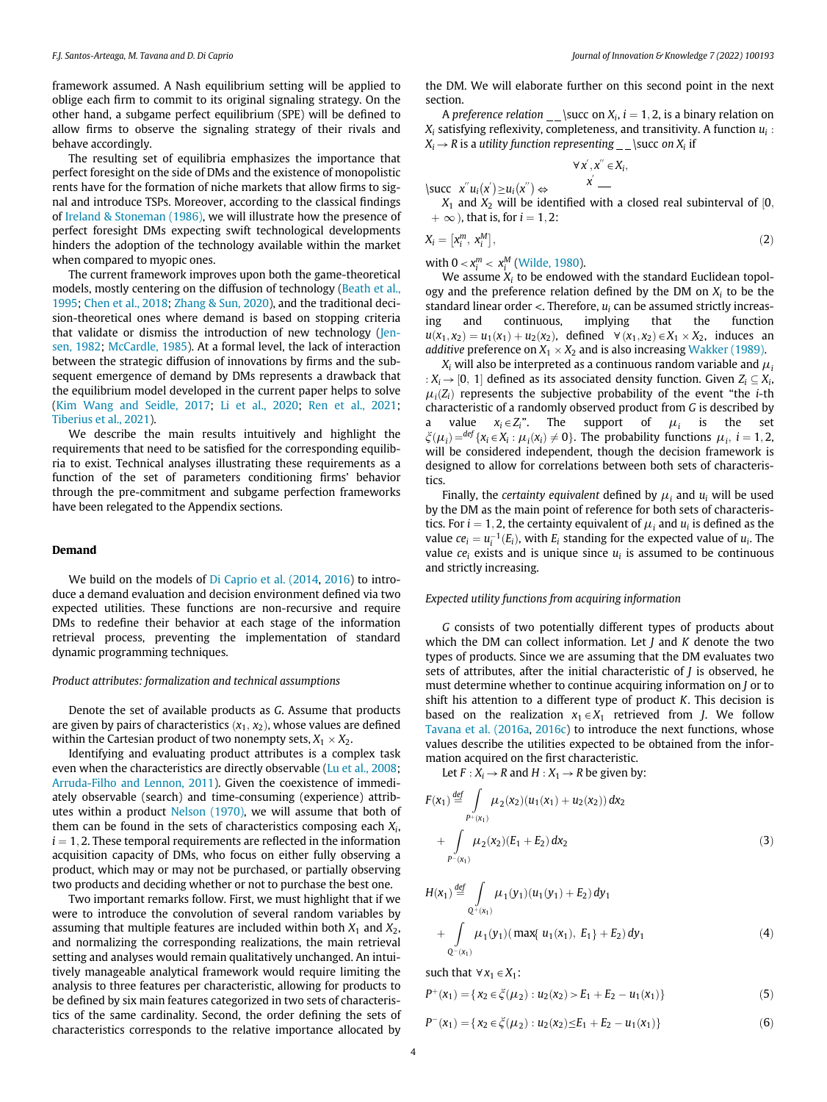framework assumed. A Nash equilibrium setting will be applied to oblige each firm to commit to its original signaling strategy. On the other hand, a subgame perfect equilibrium (SPE) will be defined to allow firms to observe the signaling strategy of their rivals and behave accordingly.

The resulting set of equilibria emphasizes the importance that perfect foresight on the side of DMs and the existence of monopolistic rents have for the formation of niche markets that allow firms to signal and introduce TSPs. Moreover, according to the classical findings of [Ireland & Stoneman \(1986\),](#page-11-28) we will illustrate how the presence of perfect foresight DMs expecting swift technological developments hinders the adoption of the technology available within the market when compared to myopic ones.

The current framework improves upon both the game-theoretical models, mostly centering on the diffusion of technology [\(Beath et al.,](#page-11-29) [1995;](#page-11-29) [Chen et al., 2018;](#page-11-30) [Zhang & Sun, 2020\)](#page-12-9), and the traditional decision-theoretical ones where demand is based on stopping criteria that validate or dismiss the introduction of new technology [\(Jen](#page-11-31)[sen, 1982;](#page-11-31) [McCardle, 1985\)](#page-11-32). At a formal level, the lack of interaction between the strategic diffusion of innovations by firms and the subsequent emergence of demand by DMs represents a drawback that the equilibrium model developed in the current paper helps to solve ([Kim Wang and Seidle, 2017](#page-11-33); [Li et al., 2020;](#page-11-34) [Ren et al., 2021;](#page-11-35) [Tiberius et al., 2021\)](#page-12-10).

We describe the main results intuitively and highlight the requirements that need to be satisfied for the corresponding equilibria to exist. Technical analyses illustrating these requirements as a function of the set of parameters conditioning firms' behavior through the pre-commitment and subgame perfection frameworks have been relegated to the Appendix sections.

#### Demand

We build on the models of [Di Caprio et al. \(2014](#page-11-36), [2016](#page-11-37)) to introduce a demand evaluation and decision environment defined via two expected utilities. These functions are non-recursive and require DMs to redefine their behavior at each stage of the information retrieval process, preventing the implementation of standard dynamic programming techniques.

#### Product attributes: formalization and technical assumptions

Denote the set of available products as G. Assume that products are given by pairs of characteristics  $(x_1, x_2)$ , whose values are defined within the Cartesian product of two nonempty sets,  $X_1 \times X_2$ .

<span id="page-3-0"></span>Identifying and evaluating product attributes is a complex task even when the characteristics are directly observable ([Lu et al., 2008;](#page-11-38) [Arruda-Filho and Lennon, 2011](#page-11-39)). Given the coexistence of immediately observable (search) and time-consuming (experience) attributes within a product [Nelson \(1970\),](#page-11-40) we will assume that both of them can be found in the sets of characteristics composing each  $X_i$ ,  $i = 1, 2$ . These temporal requirements are reflected in the information acquisition capacity of DMs, who focus on either fully observing a product, which may or may not be purchased, or partially observing two products and deciding whether or not to purchase the best one.

<span id="page-3-1"></span>Two important remarks follow. First, we must highlight that if we were to introduce the convolution of several random variables by assuming that multiple features are included within both  $X_1$  and  $X_2$ , and normalizing the corresponding realizations, the main retrieval setting and analyses would remain qualitatively unchanged. An intuitively manageable analytical framework would require limiting the analysis to three features per characteristic, allowing for products to be defined by six main features categorized in two sets of characteristics of the same cardinality. Second, the order defining the sets of characteristics corresponds to the relative importance allocated by

the DM. We will elaborate further on this second point in the next section.

A preference relation  $\_\$ succ on  $X_i$ ,  $i = 1, 2$ , is a binary relation on  $X_i$  satisfying reflexivity, completeness, and transitivity. A function  $u_i$ :  $X_i \rightarrow R$  is a utility function representing \succ on  $X_i$  if

$$
\forall x', x'' \in X_i, \\ x' \underline{\qquad}
$$

 $\text{succ } x''u_i(x') \geq u_i(x'') \Leftrightarrow$  $X_1$  and  $X_2$  will be identified with a closed real subinterval of [0,  $+ \infty$ ), that is, for  $i = 1, 2$ :

$$
X_i = [x_i^m, x_i^M], \tag{2}
$$

with  $0 < x_i^m < x_i^M$  [\(Wilde, 1980](#page-12-11)).

We assume  $X_i$  to be endowed with the standard Euclidean topology and the preference relation defined by the DM on  $X_i$  to be the standard linear order <. Therefore,  $u_i$  can be assumed strictly increasing and continuous, implying that the function ing and continuous, implying that the function  $u(x_1, x_2) = u_1(x_1) + u_2(x_2)$ , defined  $\forall (x_1, x_2) \in X_1 \times X_2$ , induces an *additive* preference on  $X_1 \times X_2$  and is also increasing [Wakker \(1989\).](#page-12-12)

 $X_i$  will also be interpreted as a continuous random variable and  $\mu_i$ :  $X_i \rightarrow [0, 1]$  defined as its associated density function. Given  $Z_i \subseteq X_i$ ,  $\mu_i(Z_i)$  represents the subjective probability of the event "the *i*-th characteristic of a randomly observed product from G is described by a value  $x_i \in Z_i$ ". The support of  $\mu_i$  is the set  $\zeta(\mu_i) = \frac{\det f(x_i - X_i \cdot \mu_i)}{x_i}$  and  $\zeta(\mu_i) = \frac{\det f(x_i - X_i \cdot \mu_i)}{x_i}$  $\zeta(\mu_i) = \text{def } \{x_i \in X_i : \mu_i(x_i) \neq 0\}$ . The probability functions  $\mu_i$ ,  $i = 1, 2$ , will be considered independent, though the decision framework is will be considered independent, though the decision framework is designed to allow for correlations between both sets of characteristics.

Finally, the certainty equivalent defined by  $\mu_i$  and  $u_i$  will be used by the DM as the main point of reference for both sets of characteristics. For  $i = 1, 2$ , the certainty equivalent of  $\mu_i$  and  $u_i$  is defined as the value  $ce_i = u_i^{-1}(E_i)$ , with  $E_i$  standing for the expected value of  $u_i$ . The value  $ce_i$  exists and is unique since  $u_i$  is assumed to be continuous value  $ce_i$  exists and is unique since  $u_i$  is assumed to be continuous and strictly increasing.

#### Expected utility functions from acquiring information

G consists of two potentially different types of products about which the DM can collect information. Let  $J$  and  $K$  denote the two types of products. Since we are assuming that the DM evaluates two sets of attributes, after the initial characteristic of  $J$  is observed, he must determine whether to continue acquiring information on J or to shift his attention to a different type of product  $K$ . This decision is based on the realization  $x_1 \in X_1$  retrieved from J. We follow [Tavana et al. \(2016a](#page-12-13), [2016c\)](#page-12-14) to introduce the next functions, whose values describe the utilities expected to be obtained from the information acquired on the first characteristic.

Let  $F : X_i \to R$  and  $H : X_1 \to R$  be given by:

$$
F(x_1) \stackrel{def}{=} \int_{P^+(x_1)} \mu_2(x_2)(u_1(x_1) + u_2(x_2)) dx_2
$$
  
+ 
$$
\int_{P^-(x_1)} \mu_2(x_2)(E_1 + E_2) dx_2
$$
 (3)

$$
H(x_1) \stackrel{\text{def}}{=} \int_{Q^+(x_1)} \mu_1(y_1)(u_1(y_1) + E_2) \, dy_1
$$
  
+ 
$$
\int_{Q^-(x_1)} \mu_1(y_1) (\max\{u_1(x_1), E_1\} + E_2) \, dy_1
$$
 (4)

such that  $\forall x_1 \in X_1$ :

$$
P^{+}(x_1) = \{ x_2 \in \xi(\mu_2) : u_2(x_2) > E_1 + E_2 - u_1(x_1) \}
$$
 (5)

$$
P^{-}(x_1) = \{ x_2 \in \xi(\mu_2) : u_2(x_2) \le E_1 + E_2 - u_1(x_1) \}
$$
 (6)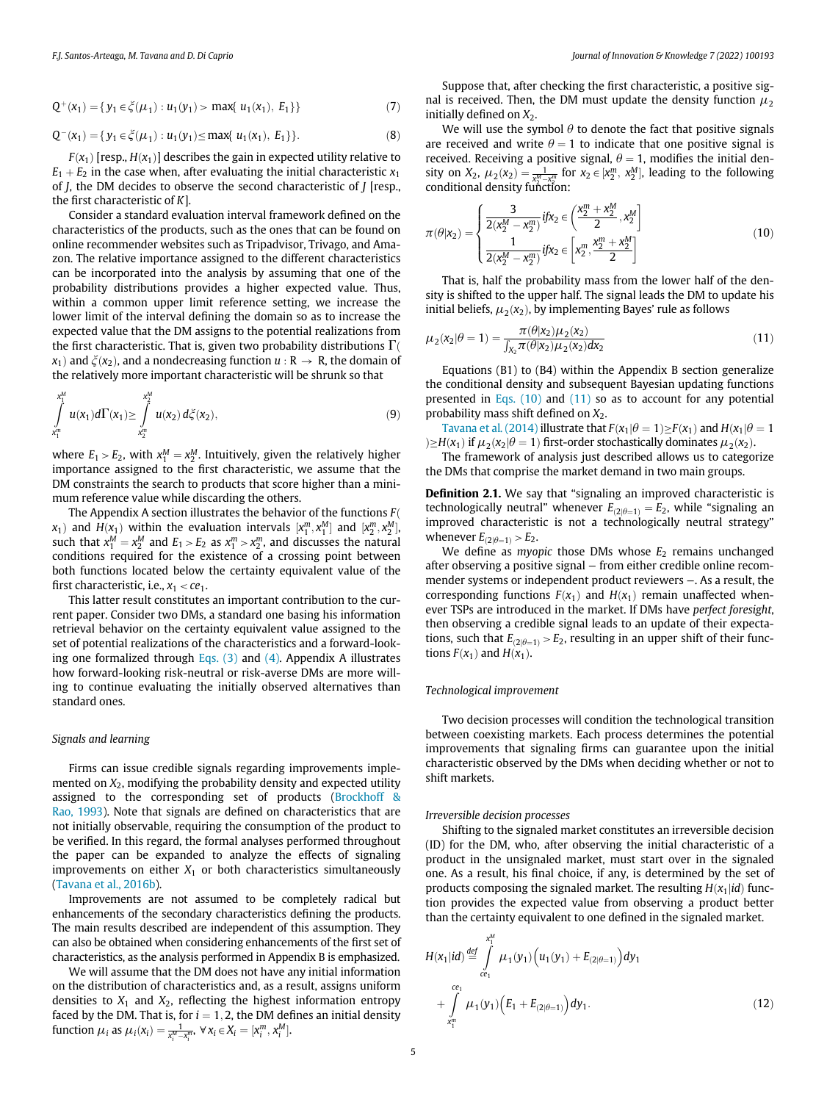$$
Q^{+}(x_1) = \{ y_1 \in \xi(\mu_1) : u_1(y_1) > \max\{ u_1(x_1), E_1 \} \}
$$
\n(7)

$$
Q^{-}(x_1) = \{ y_1 \in \xi(\mu_1) : u_1(y_1) \le \max\{ u_1(x_1), E_1 \} \}.
$$
 (8)

<span id="page-4-0"></span> $F(x_1)$  [resp.,  $H(x_1)$ ] describes the gain in expected utility relative to  $E_1 + E_2$  in the case when, after evaluating the initial characteristic  $x_1$ of  $J$ , the DM decides to observe the second characteristic of  $J$  [resp., the first characteristic of K].

Consider a standard evaluation interval framework defined on the characteristics of the products, such as the ones that can be found on online recommender websites such as Tripadvisor, Trivago, and Amazon. The relative importance assigned to the different characteristics can be incorporated into the analysis by assuming that one of the probability distributions provides a higher expected value. Thus, within a common upper limit reference setting, we increase the lower limit of the interval defining the domain so as to increase the expected value that the DM assigns to the potential realizations from the first characteristic. That is, given two probability distributions  $\Gamma$  $x_1$ ) and  $\xi(x_2)$ , and a nondecreasing function  $u : \mathbb{R} \to \mathbb{R}$ , the domain of the relatively more important characteristic will be shrunk so that

<span id="page-4-1"></span>
$$
\int_{X_1^m}^{x_1^M} u(x_1) d\Gamma(x_1) \ge \int_{X_2^m}^{x_2^M} u(x_2) d\xi(x_2),
$$
\n(9)

where  $E_1 > E_2$ , with  $x_1^M = x_2^M$ . Intuitively, given the relatively higher importance assigned to the first characteristic we assume that the importance assigned to the first characteristic, we assume that the DM constraints the search to products that score higher than a minimum reference value while discarding the others.

The Appendix A section illustrates the behavior of the functions  $F($  $x_1$ ) and  $H(x_1)$  within the evaluation intervals  $[x_1^m, x_1^M]$  and  $[x_2^m, x_2^M]$ ,<br>such that  $x^M - x^M$  and  $F_1 > F_2$  as  $x^m \rightarrow x^m$  and discusses the natural such that  $x_1^M = x_2^M$  and  $E_1 > E_2$  as  $x_1^m > x_2^m$ , and discusses the natural<br>conditions required for the existence of a crossing point between conditions required for the existence of a crossing point between both functions located below the certainty equivalent value of the first characteristic, i.e.,  $x_1 < ce_1$ .

This latter result constitutes an important contribution to the current paper. Consider two DMs, a standard one basing his information retrieval behavior on the certainty equivalent value assigned to the set of potential realizations of the characteristics and a forward-looking one formalized through Eqs.  $(3)$  and  $(4)$ . Appendix A illustrates how forward-looking risk-neutral or risk-averse DMs are more willing to continue evaluating the initially observed alternatives than standard ones.

#### Signals and learning

Firms can issue credible signals regarding improvements implemented on  $X_2$ , modifying the probability density and expected utility assigned to the corresponding set of products [\(Brockhoff &](#page-11-41) [Rao, 1993](#page-11-41)). Note that signals are defined on characteristics that are not initially observable, requiring the consumption of the product to be verified. In this regard, the formal analyses performed throughout the paper can be expanded to analyze the effects of signaling improvements on either  $X_1$  or both characteristics simultaneously ([Tavana et al., 2016b\)](#page-12-1).

Improvements are not assumed to be completely radical but enhancements of the secondary characteristics defining the products. The main results described are independent of this assumption. They can also be obtained when considering enhancements of the first set of characteristics, as the analysis performed in Appendix B is emphasized.

We will assume that the DM does not have any initial information on the distribution of characteristics and, as a result, assigns uniform densities to  $X_1$  and  $X_2$ , reflecting the highest information entropy faced by the DM. That is, for  $i = 1, 2$ , the DM defines an initial density function  $\mu_i$  as  $\mu_i(x_i) = \frac{1}{x_i^M - x_i^m}$ ,  $\forall x_i \in X_i = [x_i^m, x_i^M]$ .

Suppose that, after checking the first characteristic, a positive signal is received. Then, the DM must update the density function  $\mu_2$ initially defined on  $X_2$ .

We will use the symbol  $\theta$  to denote the fact that positive signals are received and write  $\theta = 1$  to indicate that one positive signal is are received and write  $\theta = 1$  to indicate that one positive signal is received. Receiving a positive signal  $\theta = 1$ , modifies the initial denreceived. Receiving a positive signal,  $\theta = 1$ , modifies the initial den-<br>sity on  $X_2$ ,  $\mu_2(x_2) = \frac{1}{x_2}$  for  $x_2 \in [x_2^m, x_2^M]$ . leading to the following sity on  $X_2$ ,  $\mu_2(x_2) = \frac{1}{X_2^M - X_1^m}$  for  $x_2 \in [X_2^m, X_2^M]$ , leading to the following<br>conditional density function: sity on  $X_2$ ,  $\mu_2(X_2) - x_2^M - x_2^m$  conditional density function:

$$
\pi(\theta|\mathbf{x}_2) = \begin{cases}\n\frac{3}{2(x_2^M - x_2^m)} i f x_2 \in \left(\frac{x_2^m + x_2^M}{2}, x_2^M\right] \\
\frac{1}{2(x_2^M - x_2^m)} i f x_2 \in \left[x_2^m, \frac{x_2^m + x_2^M}{2}\right]\n\end{cases}
$$
\n(10)

That is, half the probability mass from the lower half of the density is shifted to the upper half. The signal leads the DM to update his initial beliefs,  $\mu_2(x_2)$ , by implementing Bayes' rule as follows

$$
\mu_2(x_2|\theta = 1) = \frac{\pi(\theta|x_2)\mu_2(x_2)}{\int_{X_2} \pi(\theta|x_2)\mu_2(x_2)dx_2}
$$
(11)

Equations (B1) to (B4) within the Appendix B section generalize the conditional density and subsequent Bayesian updating functions presented in Eqs.  $(10)$  and  $(11)$  so as to account for any potential probability mass shift defined on  $X_2$ .

[Tavana et al. \(2014\)](#page-12-15) illustrate that  $F(x_1|\theta = 1) \geq F(x_1)$  and  $H(x_1|\theta = 1)$ <br> $H(x_1)$  if  $\mu_2(x_2|\theta = 1)$  first-order stochastically dominates  $\mu_2(x_2)$ .  $\geq H(x_1)$  if  $\mu_2(x_2|\theta = 1)$  first-order stochastically dominates  $\mu_2(x_2)$ .<br>The framework of analysis just described allows us to catego

The framework of analysis just described allows us to categorize the DMs that comprise the market demand in two main groups.

Definition 2.1. We say that "signaling an improved characteristic is technologically neutral" whenever  $E_{(2|\theta=1)} = E_2$ , while "signaling an<br>improved characteristic is not a technologically neutral strategy" improved characteristic is not a technologically neutral strategy" whenever  $E_{(2|\theta=1)} > E_2$ .<br>We define as myo

We define as *myopic* those DMs whose  $E_2$  remains unchanged after observing a positive signal − from either credible online recommender systems or independent product reviewers −. As a result, the corresponding functions  $F(x_1)$  and  $H(x_1)$  remain unaffected whenever TSPs are introduced in the market. If DMs have perfect foresight, then observing a credible signal leads to an update of their expectations, such that  $E_{(2|\theta=1)} > E_2$ , resulting in an upper shift of their func-<br>tions  $F(x_1)$  and  $H(x_2)$ tions  $F(x_1)$  and  $H(x_1)$ .

#### Technological improvement

Two decision processes will condition the technological transition between coexisting markets. Each process determines the potential improvements that signaling firms can guarantee upon the initial characteristic observed by the DMs when deciding whether or not to shift markets.

#### Irreversible decision processes

Shifting to the signaled market constitutes an irreversible decision (ID) for the DM, who, after observing the initial characteristic of a product in the unsignaled market, must start over in the signaled one. As a result, his final choice, if any, is determined by the set of products composing the signaled market. The resulting  $H(x_1|id)$  function provides the expected value from observing a product better than the certainty equivalent to one defined in the signaled market.

$$
H(x_1|id) \stackrel{def}{=} \int_{ce_1}^{x_1^M} \mu_1(y_1) \Big( u_1(y_1) + E_{(2|\theta=1)} \Big) dy_1
$$
  
+ 
$$
\int_{x_1^m}^{ce_1} \mu_1(y_1) \Big( E_1 + E_{(2|\theta=1)} \Big) dy_1.
$$
 (12)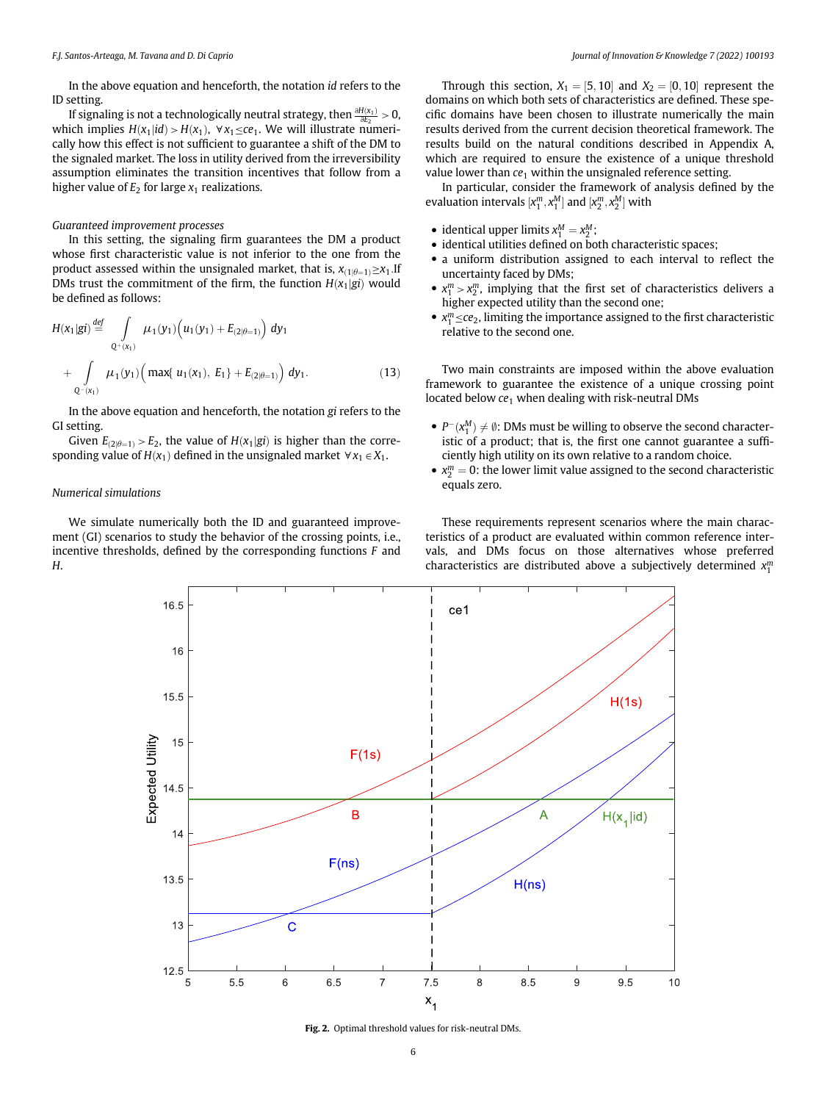In the above equation and henceforth, the notation id refers to the ID setting.

If signaling is not a technologically neutral strategy, then  $\frac{\partial H(x_1)}{\partial E_2} > 0$ , which implies  $H(x_1|id) > H(x_1)$ ,  $\forall x_1 \leq ce_1$ . We will illustrate numerically how this effect is not sufficient to guarantee a shift of the DM to the signaled market. The loss in utility derived from the irreversibility assumption eliminates the transition incentives that follow from a higher value of  $E_2$  for large  $x_1$  realizations.

#### Guaranteed improvement processes

In this setting, the signaling firm guarantees the DM a product whose first characteristic value is not inferior to the one from the product assessed within the unsignaled market, that is,  $x_{(1|\theta=1)} \geq x_1$ .If<br>DMs trust the commitment of the firm, the function  $H(x,|\sigma)$  would DMs trust the commitment of the firm, the function  $H(x_1|g_i)$  would be defined as follows:

$$
H(x_1|gi) \stackrel{def}{=} \int_{Q^+(x_1)} \mu_1(y_1) \left( u_1(y_1) + E_{(2|\theta=1)} \right) dy_1
$$
  
+ 
$$
\int_{Q^-(x_1)} \mu_1(y_1) \left( \max\{ u_1(x_1), E_1 \} + E_{(2|\theta=1)} \right) dy_1.
$$
 (13)

In the above equation and henceforth, the notation gi refers to the GI setting.

Given  $E_{(2|\theta=1)} > E_2$ , the value of  $H(x_1|gi)$  is higher than the corre-<br>nding value of  $H(x_1)$  defined in the unsignaled market  $\forall x_i \in X_i$ . sponding value of  $H(x_1)$  defined in the unsignaled market  $\forall x_1 \in X_1$ .

#### Numerical simulations

<span id="page-5-0"></span>We simulate numerically both the ID and guaranteed improvement (GI) scenarios to study the behavior of the crossing points, i.e., incentive thresholds, defined by the corresponding functions F and H.

Through this section,  $X_1 = [5, 10]$  and  $X_2 = [0, 10]$  represent the domains on which both sets of characteristics are defined. These specific domains have been chosen to illustrate numerically the main results derived from the current decision theoretical framework. The results build on the natural conditions described in Appendix A, which are required to ensure the existence of a unique threshold value lower than  $ce<sub>1</sub>$  within the unsignaled reference setting.

In particular, consider the framework of analysis defined by the evaluation intervals  $[x_1^m, x_1^M]$  and  $[x_2^m, x_2^M]$  with

- identical upper limits  $x_1^M = x_2^M$ ;<br>• identical utilities defined on bo
- identical utilities defined on both characteristic spaces;
- a uniform distribution assigned to each interval to reflect the uncertainty faced by DMs;
- $x_1^m > x_2^m$ , implying that the first set of characteristics delivers a higher quantity than the second ones. higher expected utility than the second one;
- $x_1^m \leq ce_2$ , limiting the importance assigned to the first characteristic relative to the second one. relative to the second one.

Two main constraints are imposed within the above evaluation framework to guarantee the existence of a unique crossing point located below  $ce_1$  when dealing with risk-neutral DMs

- $P^{-}(x_1^M) \neq \emptyset$ : DMs must be willing to observe the second character-<br>istic of a product: that is, the first one cannot guarantee a suffiistic of a product; that is, the first one cannot guarantee a sufficiently high utility on its own relative to a random choice.
- $x_2^m = 0$ : the lower limit value assigned to the second characteristic<br>equals zero equals zero.

These requirements represent scenarios where the main characteristics of a product are evaluated within common reference intervals, and DMs focus on those alternatives whose preferred characteristics are distributed above a subjectively determined  $x_1^m$ 



Fig. 2. Optimal threshold values for risk-neutral DMs.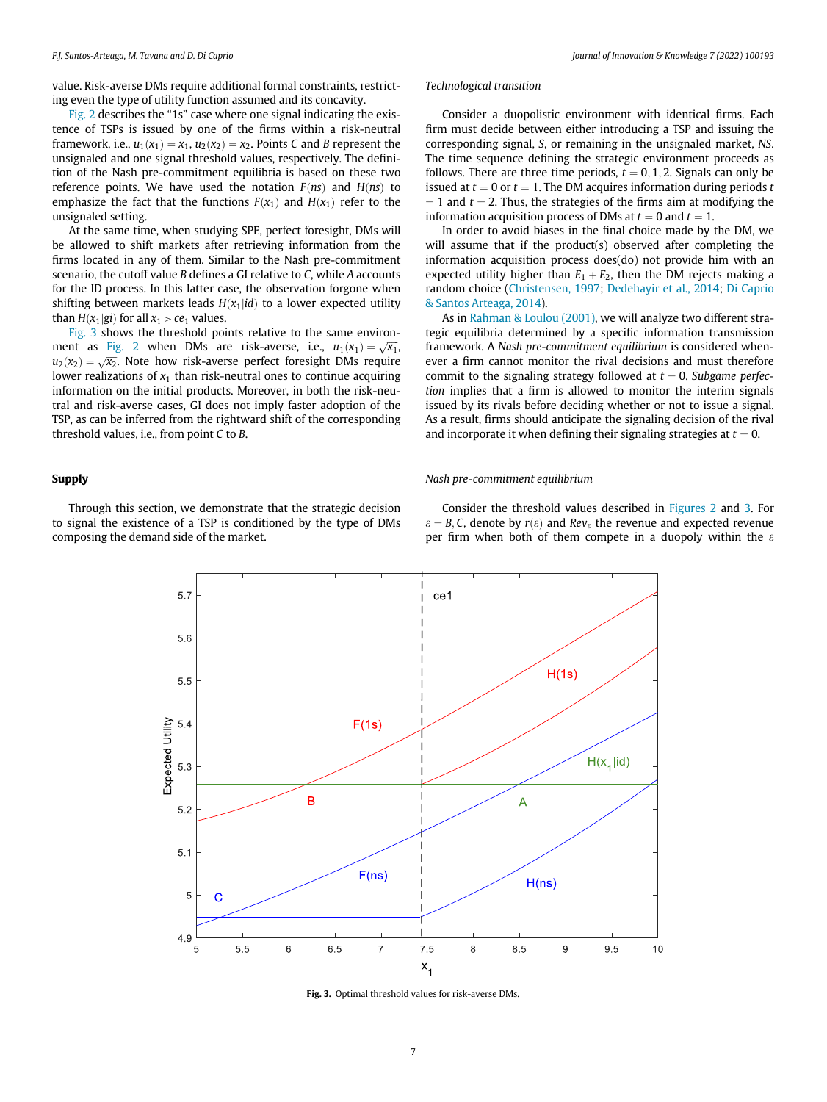value. Risk-averse DMs require additional formal constraints, restricting even the type of utility function assumed and its concavity.

[Fig. 2](#page-5-0) describes the "1s" case where one signal indicating the existence of TSPs is issued by one of the firms within a risk-neutral framework, i.e.,  $u_1(x_1) = x_1$ ,  $u_2(x_2) = x_2$ . Points C and B represent the unsignaled and one signal threshold values, respectively. The definition of the Nash pre-commitment equilibria is based on these two reference points. We have used the notation  $F(ns)$  and  $H(ns)$  to emphasize the fact that the functions  $F(x_1)$  and  $H(x_1)$  refer to the unsignaled setting.

At the same time, when studying SPE, perfect foresight, DMs will be allowed to shift markets after retrieving information from the firms located in any of them. Similar to the Nash pre-commitment scenario, the cutoff value B defines a GI relative to C, while A accounts for the ID process. In this latter case, the observation forgone when shifting between markets leads  $H(x_1|id)$  to a lower expected utility than  $H(x_1|gi)$  for all  $x_1 > ce_1$  values.

[Fig. 3](#page-6-0) shows the threshold points relative to the same environ-ment as [Fig. 2](#page-5-0) when DMs are risk-averse, i.e.,  $u_1(x_1) = \sqrt{x_1}$ ,  $u_2(x_2) = \sqrt{x_2}$ . Note how risk averse perfect foresight DMs require  $u_2(x_2) = \sqrt{x_2}$ . Note how risk-averse perfect foresight DMs require<br>lower realizations of x, than risk-neutral ones to continue acquiring lower realizations of  $x_1$  than risk-neutral ones to continue acquiring information on the initial products. Moreover, in both the risk-neutral and risk-averse cases, GI does not imply faster adoption of the TSP, as can be inferred from the rightward shift of the corresponding threshold values, i.e., from point C to B.

#### Technological transition

Consider a duopolistic environment with identical firms. Each firm must decide between either introducing a TSP and issuing the corresponding signal, S, or remaining in the unsignaled market, NS. The time sequence defining the strategic environment proceeds as follows. There are three time periods,  $t = 0, 1, 2$ . Signals can only be issued at  $t = 0$  or  $t = 1$ . The DM acquires information during periods t  $=$  1 and  $t = 2$ . Thus, the strategies of the firms aim at modifying the information acquisition process of DMs at  $t = 0$  and  $t = 1$ .

In order to avoid biases in the final choice made by the DM, we will assume that if the product(s) observed after completing the information acquisition process does(do) not provide him with an expected utility higher than  $E_1 + E_2$ , then the DM rejects making a random choice ([Christensen, 1997](#page-11-42); [Dedehayir et al., 2014](#page-11-43); [Di Caprio](#page-11-1) [& Santos Arteaga, 2014\)](#page-11-1).

As in [Rahman & Loulou \(2001\),](#page-11-44) we will analyze two different strategic equilibria determined by a specific information transmission framework. A Nash pre-commitment equilibrium is considered whenever a firm cannot monitor the rival decisions and must therefore commit to the signaling strategy followed at  $t = 0$ . Subgame perfection implies that a firm is allowed to monitor the interim signals issued by its rivals before deciding whether or not to issue a signal. As a result, firms should anticipate the signaling decision of the rival and incorporate it when defining their signaling strategies at  $t = 0$ .

#### Supply

<span id="page-6-0"></span>Through this section, we demonstrate that the strategic decision to signal the existence of a TSP is conditioned by the type of DMs composing the demand side of the market.

Nash pre-commitment equilibrium

Consider the threshold values described in [Figures 2](#page-5-0) and [3.](#page-6-0) For  $\varepsilon = B, C$ , denote by  $r(\varepsilon)$  and Rev<sub> $\varepsilon$ </sub> the revenue and expected revenue per firm when both of them compete in a duopoly within the  $\varepsilon$ 



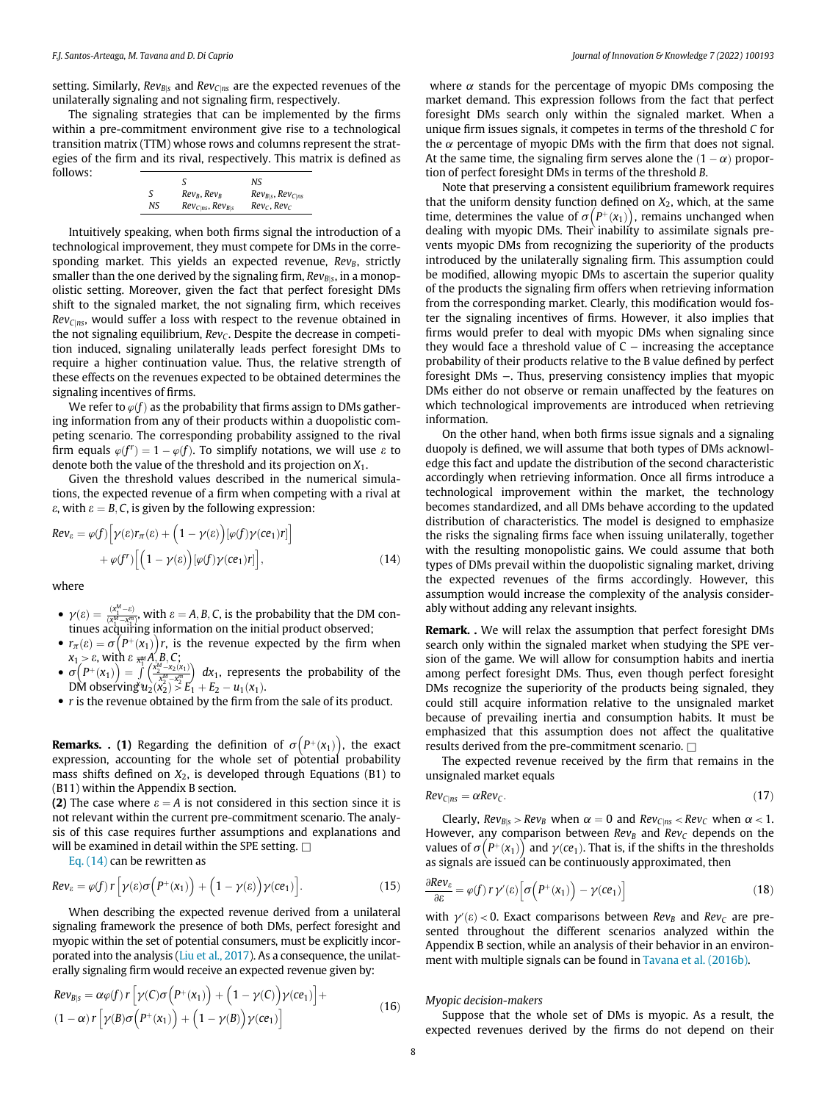setting. Similarly,  $Rev_{B|S}$  and  $Rev_{C|ns}$  are the expected revenues of the unilaterally signaling and not signaling firm, respectively.

The signaling strategies that can be implemented by the firms within a pre-commitment environment give rise to a technological transition matrix (TTM) whose rows and columns represent the strategies of the firm and its rival, respectively. This matrix is defined as follows:

|    |                            | NS                         |
|----|----------------------------|----------------------------|
| S  | $Rev_B, Rev_B$             | $Rev_{B S}$ , $Rev_{C RS}$ |
| NS | $Rev_{C ns}$ , $Rev_{B s}$ | $Rev_C$ , $Rev_C$          |
|    |                            |                            |

Intuitively speaking, when both firms signal the introduction of a technological improvement, they must compete for DMs in the corresponding market. This yields an expected revenue,  $Rev_B$ , strictly smaller than the one derived by the signaling firm,  $Rev_{B|S}$ , in a monopolistic setting. Moreover, given the fact that perfect foresight DMs shift to the signaled market, the not signaling firm, which receives  $Rev_{C|ns}$ , would suffer a loss with respect to the revenue obtained in the not signaling equilibrium,  $Rev_C$ . Despite the decrease in competition induced, signaling unilaterally leads perfect foresight DMs to require a higher continuation value. Thus, the relative strength of these effects on the revenues expected to be obtained determines the signaling incentives of firms.

We refer to  $\varphi(f)$  as the probability that firms assign to DMs gathering information from any of their products within a duopolistic competing scenario. The corresponding probability assigned to the rival firm equals  $\varphi(f^r) = 1 - \varphi(f)$ . To simplify notations, we will use  $\varepsilon$  to denote both the value of the threshold and its projection on  $X_1$ .

<span id="page-7-0"></span>Given the threshold values described in the numerical simulations, the expected revenue of a firm when competing with a rival at  $\varepsilon$ , with  $\varepsilon = B, C$ , is given by the following expression:

$$
Re v_{\varepsilon} = \varphi(f) \Big[ \gamma(\varepsilon) r_{\pi}(\varepsilon) + \Big( 1 - \gamma(\varepsilon) \Big) [\varphi(f) \gamma(c e_1) r] \Big] + \varphi(f^r) \Big[ \Big( 1 - \gamma(\varepsilon) \Big) [\varphi(f) \gamma(c e_1) r] \Big],
$$
(14)

where

- $\gamma(\varepsilon) = \frac{(x_1^M \varepsilon)^m}{(x_1^M x_1^m)}$ , with  $\varepsilon = A, B, C$ , is the probability that the DM continues acquiring information on the initial product observed;
- $r_{\pi}(e) = \sigma \left( P^+(x_1) \right) r$ , is the revenue expected by the firm when  $x_1 > \varepsilon$  with  $\varepsilon = A R C$ .  $x_1 > \varepsilon$ , with  $\varepsilon \frac{1}{x_1} A'_{1} B_{1} C$ ;<br>  $\sigma (D+(x_1)) = \int_{a_1}^{b_1} \binom{x_2^M-x_2}{x_1^M}$  $\overline{x}_1^{\text{M}}$
- s  $\left(P^+(x_1)\right) = \int$ <br>M observing<sup>x</sup> x1  $\left(\frac{\chi_2^{M}-\chi_2(\chi_1)}{\chi_2^{M}-\chi_1^{m}}\right)$  dx<sub>1</sub>, represents the probability of the DM observing  $u_2(x_2) \stackrel{\scriptstyle >}{\scriptstyle >} E_1 + E_2 - u_1(x_1)$ .<br>r is the revenue obtained by the firm from
- $\bullet$  r is the revenue obtained by the firm from the sale of its product.

**Remarks. . (1)** Regarding the definition of  $\sigma(P^+(x_1))$ , the exact expression accounting for the whole set of potential probability expression, accounting for the whole set of potential probability mass shifts defined on  $X_2$ , is developed through Equations (B1) to (B11) within the Appendix B section.

(2) The case where  $\varepsilon = A$  is not considered in this section since it is not relevant within the current pre-commitment scenario. The analysis of this case requires further assumptions and explanations and will be examined in detail within the SPE setting.  $\Box$ 

[Eq. \(14\)](#page-7-0) can be rewritten as

$$
Re v_{\varepsilon} = \varphi(f) r \left[ \gamma(\varepsilon) \sigma \Big( P^+(x_1) \Big) + \Big( 1 - \gamma(\varepsilon) \Big) \gamma(\varepsilon e_1) \right]. \tag{15}
$$

When describing the expected revenue derived from a unilateral signaling framework the presence of both DMs, perfect foresight and myopic within the set of potential consumers, must be explicitly incorporated into the analysis [\(Liu et al., 2017\)](#page-11-45). As a consequence, the unilaterally signaling firm would receive an expected revenue given by:

$$
Re v_{B|s} = \alpha \varphi(f) r \left[ \gamma(C) \sigma\left(P^+(x_1)\right) + \left(1 - \gamma(C)\right) \gamma(ce_1)\right] +
$$
  

$$
(1 - \alpha) r \left[ \gamma(B) \sigma\left(P^+(x_1)\right) + \left(1 - \gamma(B)\right) \gamma(ce_1)\right]
$$
 (16)

where  $\alpha$  stands for the percentage of myopic DMs composing the market demand. This expression follows from the fact that perfect foresight DMs search only within the signaled market. When a unique firm issues signals, it competes in terms of the threshold C for the  $\alpha$  percentage of myopic DMs with the firm that does not signal. At the same time, the signaling firm serves alone the  $(1 - \alpha)$  proportion of perfect foresight DMs in terms of the threshold B.

Note that preserving a consistent equilibrium framework requires that the uniform density function defined on  $X_2$ , which, at the same time, determines the value of  $\sigma (P^+(x_1))$ , remains unchanged when dealing with myopic DMs. Their inability to assimilate signals predealing with myopic DMs. Their inability to assimilate signals prevents myopic DMs from recognizing the superiority of the products introduced by the unilaterally signaling firm. This assumption could be modified, allowing myopic DMs to ascertain the superior quality of the products the signaling firm offers when retrieving information from the corresponding market. Clearly, this modification would foster the signaling incentives of firms. However, it also implies that firms would prefer to deal with myopic DMs when signaling since they would face a threshold value of  $C -$  increasing the acceptance probability of their products relative to the B value defined by perfect foresight DMs −. Thus, preserving consistency implies that myopic DMs either do not observe or remain unaffected by the features on which technological improvements are introduced when retrieving information.

On the other hand, when both firms issue signals and a signaling duopoly is defined, we will assume that both types of DMs acknowledge this fact and update the distribution of the second characteristic accordingly when retrieving information. Once all firms introduce a technological improvement within the market, the technology becomes standardized, and all DMs behave according to the updated distribution of characteristics. The model is designed to emphasize the risks the signaling firms face when issuing unilaterally, together with the resulting monopolistic gains. We could assume that both types of DMs prevail within the duopolistic signaling market, driving the expected revenues of the firms accordingly. However, this assumption would increase the complexity of the analysis considerably without adding any relevant insights.

Remark. . We will relax the assumption that perfect foresight DMs search only within the signaled market when studying the SPE version of the game. We will allow for consumption habits and inertia among perfect foresight DMs. Thus, even though perfect foresight DMs recognize the superiority of the products being signaled, they could still acquire information relative to the unsignaled market because of prevailing inertia and consumption habits. It must be emphasized that this assumption does not affect the qualitative results derived from the pre-commitment scenario.  $\Box$ 

The expected revenue received by the firm that remains in the unsignaled market equals

$$
Rev_{C|ns} = \alpha Rev_C.
$$
 (17)

Clearly,  $Rev_{B|S} > Rev_B$  when  $\alpha = 0$  and  $Rev_{C|NS} < Rev_C$  when  $\alpha < 1$ . However, any comparison between  $Rev_B$  and  $Rev_C$  depends on the values of  $\sigma(P^+(x_1))$  and  $\gamma(c_1)$ . That is, if the shifts in the thresholds as signals are issued can be continuously approximated, then as signals are issued can be continuously approximated, then

$$
\frac{\partial Re v_{\varepsilon}}{\partial \varepsilon} = \varphi(f) \, r \, \gamma'(\varepsilon) \left[ \sigma \left( P^+(x_1) \right) - \gamma(c e_1) \right] \tag{18}
$$

with  $\gamma'(e) < 0$ . Exact comparisons between Rev<sub>B</sub> and Rev<sub>C</sub> are pre-<br>sented throughout the different scenarios analyzed within the sented throughout the different scenarios analyzed within the Appendix B section, while an analysis of their behavior in an environment with multiple signals can be found in [Tavana et al. \(2016b\).](#page-12-1)

#### Myopic decision-makers

Suppose that the whole set of DMs is myopic. As a result, the expected revenues derived by the firms do not depend on their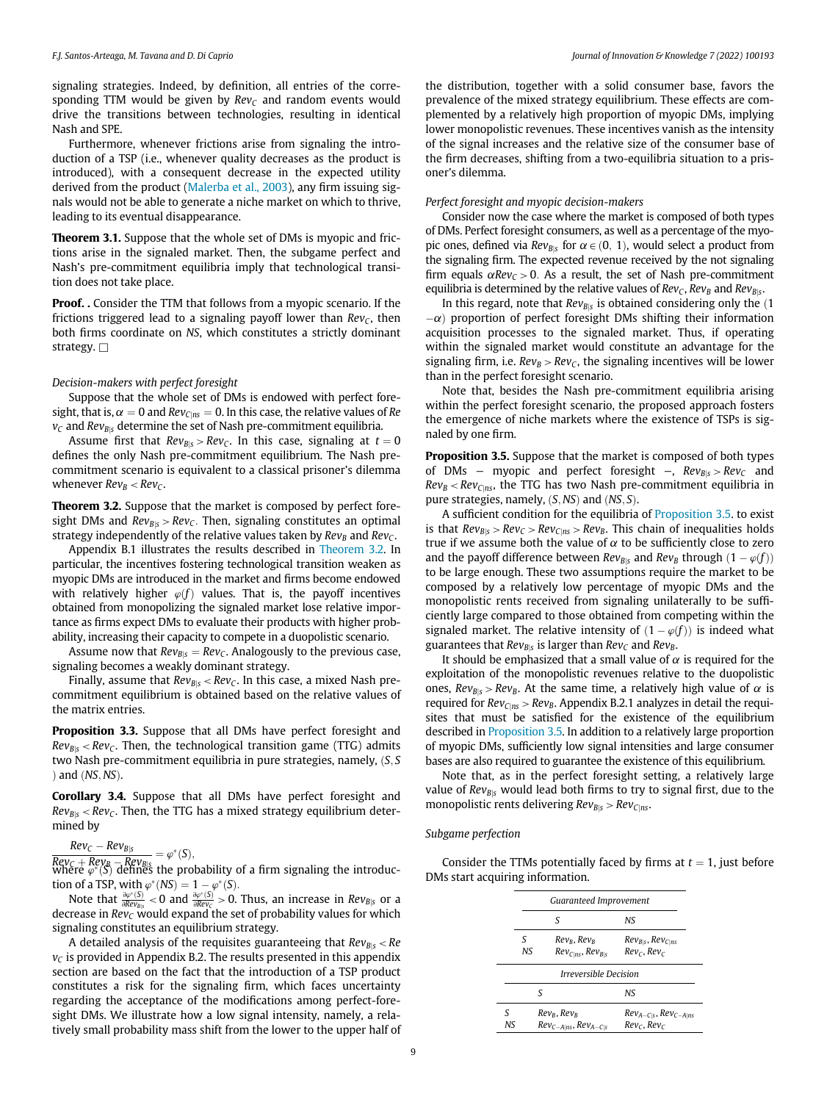signaling strategies. Indeed, by definition, all entries of the corresponding TTM would be given by  $Rev_C$  and random events would drive the transitions between technologies, resulting in identical Nash and SPE.

Furthermore, whenever frictions arise from signaling the introduction of a TSP (i.e., whenever quality decreases as the product is introduced), with a consequent decrease in the expected utility derived from the product [\(Malerba et al., 2003](#page-11-11)), any firm issuing signals would not be able to generate a niche market on which to thrive, leading to its eventual disappearance.

Theorem 3.1. Suppose that the whole set of DMs is myopic and frictions arise in the signaled market. Then, the subgame perfect and Nash's pre-commitment equilibria imply that technological transition does not take place.

Proof. . Consider the TTM that follows from a myopic scenario. If the frictions triggered lead to a signaling payoff lower than  $Rev_C$ , then both firms coordinate on NS, which constitutes a strictly dominant strategy.  $\Box$ 

#### Decision-makers with perfect foresight

Suppose that the whole set of DMs is endowed with perfect foresight, that is,  $\alpha = 0$  and  $Rev_{C|ns} = 0$ . In this case, the relative values of Re  $v<sub>C</sub>$  and Rev<sub>Bls</sub> determine the set of Nash pre-commitment equilibria.

Assume first that  $Rev_{B|S} > Rev_C$ . In this case, signaling at  $t = 0$ defines the only Nash pre-commitment equilibrium. The Nash precommitment scenario is equivalent to a classical prisoner's dilemma whenever  $Rev_B < Rev_C$ .

Theorem 3.2. Suppose that the market is composed by perfect foresight DMs and  $Rev_{B|S} > Rev_C$ . Then, signaling constitutes an optimal strategy independently of the relative values taken by  $Rev_B$  and  $Rev_C$ .

Appendix B.1 illustrates the results described in Theorem 3.2. In particular, the incentives fostering technological transition weaken as myopic DMs are introduced in the market and firms become endowed with relatively higher  $\varphi(f)$  values. That is, the payoff incentives obtained from monopolizing the signaled market lose relative importance as firms expect DMs to evaluate their products with higher probability, increasing their capacity to compete in a duopolistic scenario.

Assume now that  $Rev_{B|s} = Rev_c$ . Analogously to the previous case, signaling becomes a weakly dominant strategy.

Finally, assume that  $Rev_{B|S}$  <  $Rev_C$ . In this case, a mixed Nash precommitment equilibrium is obtained based on the relative values of the matrix entries.

Proposition 3.3. Suppose that all DMs have perfect foresight and  $Rev_{Bis} < Rev_c$ . Then, the technological transition game (TTG) admits two Nash pre-commitment equilibria in pure strategies, namely,  $(S, S)$ ) and  $(NS,NS)$ .

Corollary 3.4. Suppose that all DMs have perfect foresight and  $Rev_{BIS} < Rev_C$ . Then, the TTG has a mixed strategy equilibrium determined by

## $Rev_C - Rev_{B|S}$

 $\frac{Rev_C + Rev_B - Rev_{B|S}}{Rev_C + Rev_B - Rev_{B|S}} = \varphi^*(S),$ <br>where  $\varphi^*(S)$  defines the pro where  $\psi^*(S)$  defines the probability of a firm signaling the introduc-<br>tion of a TSP with  $\psi^*(NS) = 1 - \psi^*(S)$ tion of a TSP, with  $\varphi^*(NS) = 1 - \varphi^*(S)$ .

Note that  $\frac{\partial \varphi^*(S)}{\partial R_{\text{UV}}g_S}$  < 0 and  $\frac{\partial \varphi^*(S)}{\partial R_{\text{UV}}}$  > 0. Thus, an increase in  $Rev_{B|S}$  or a reason in  $Rov_{B|S}$ decrease in  $Rev_{\mathcal{C}}$  would expand the set of probability values for which signaling constitutes an equilibrium strategy.

A detailed analysis of the requisites guaranteeing that  $Rev_{B|S}$  < Re  $v<sub>C</sub>$  is provided in Appendix B.2. The results presented in this appendix section are based on the fact that the introduction of a TSP product constitutes a risk for the signaling firm, which faces uncertainty regarding the acceptance of the modifications among perfect-foresight DMs. We illustrate how a low signal intensity, namely, a relatively small probability mass shift from the lower to the upper half of the distribution, together with a solid consumer base, favors the prevalence of the mixed strategy equilibrium. These effects are complemented by a relatively high proportion of myopic DMs, implying lower monopolistic revenues. These incentives vanish as the intensity of the signal increases and the relative size of the consumer base of the firm decreases, shifting from a two-equilibria situation to a prisoner's dilemma.

#### Perfect foresight and myopic decision-makers

Consider now the case where the market is composed of both types of DMs. Perfect foresight consumers, as well as a percentage of the myopic ones, defined via  $Rev_{B|S}$  for  $\alpha \in (0, 1)$ , would select a product from the signaling firm. The expected revenue received by the not signaling firm equals  $\alpha Rev_C > 0$ . As a result, the set of Nash pre-commitment equilibria is determined by the relative values of  $Rev_C$ ,  $Rev_B$  and  $Rev_{B|S}$ .

In this regard, note that  $Rev_{B|s}$  is obtained considering only the  $(1)$  $-\alpha$ ) proportion of perfect foresight DMs shifting their information acquisition processes to the signaled market. Thus, if operating within the signaled market would constitute an advantage for the signaling firm, i.e.  $Rev_B > Rev_C$ , the signaling incentives will be lower than in the perfect foresight scenario.

Note that, besides the Nash pre-commitment equilibria arising within the perfect foresight scenario, the proposed approach fosters the emergence of niche markets where the existence of TSPs is signaled by one firm.

Proposition 3.5. Suppose that the market is composed of both types of DMs – myopic and perfect foresight –,  $Rev_{B|S} > Rev_C$  and  $Rev_B < Rev_{C|ns}$ , the TTG has two Nash pre-commitment equilibria in pure strategies, namely,  $(S, NS)$  and  $(NS, S)$ .

A sufficient condition for the equilibria of Proposition 3.5. to exist is that  $Rev_{B|S} > Rev_C > Rev_{C|RS} > Rev_B$ . This chain of inequalities holds true if we assume both the value of  $\alpha$  to be sufficiently close to zero and the payoff difference between  $Rev_{B|S}$  and  $Rev_B$  through  $(1 - \varphi(f))$ to be large enough. These two assumptions require the market to be composed by a relatively low percentage of myopic DMs and the monopolistic rents received from signaling unilaterally to be sufficiently large compared to those obtained from competing within the signaled market. The relative intensity of  $(1 - \varphi(f))$  is indeed what guarantees that  $Rev_{B|s}$  is larger than  $Rev_C$  and  $Rev_B$ .

It should be emphasized that a small value of  $\alpha$  is required for the exploitation of the monopolistic revenues relative to the duopolistic ones,  $Rev_{B|S} > Rev_B$ . At the same time, a relatively high value of  $\alpha$  is required for  $Rev_{C|ns} > Rev_B$ . Appendix B.2.1 analyzes in detail the requisites that must be satisfied for the existence of the equilibrium described in Proposition 3.5. In addition to a relatively large proportion of myopic DMs, sufficiently low signal intensities and large consumer bases are also required to guarantee the existence of this equilibrium.

Note that, as in the perfect foresight setting, a relatively large value of  $Rev_{B|S}$  would lead both firms to try to signal first, due to the monopolistic rents delivering  $Rev_{B|S} > Rev_{C|ns}$ .

#### Subgame perfection

Consider the TTMs potentially faced by firms at  $t = 1$ , just before DMs start acquiring information.

|    |     | Guaranteed Improvement              |                                |
|----|-----|-------------------------------------|--------------------------------|
|    |     | ς                                   | NS.                            |
|    | ς   | $Rev_B, Rev_B$                      | $Rev_{B S}$ , $Rev_{C RS}$     |
|    | NS. | $Rev_{C ns}$ , $Rev_{B s}$          | $RevC$ , $RevC$                |
|    |     | <i><b>Irreversible Decision</b></i> |                                |
|    | ς   |                                     | NS.                            |
| ς  |     | Rev <sub>r</sub> , Rev <sub>r</sub> | $Rev_{A-C S}$ , $Rev_{C-A ns}$ |
| NS |     | $Rev_{C-A ns}$ , $Rev_{A-C s}$      | $RevC$ , $RevC$                |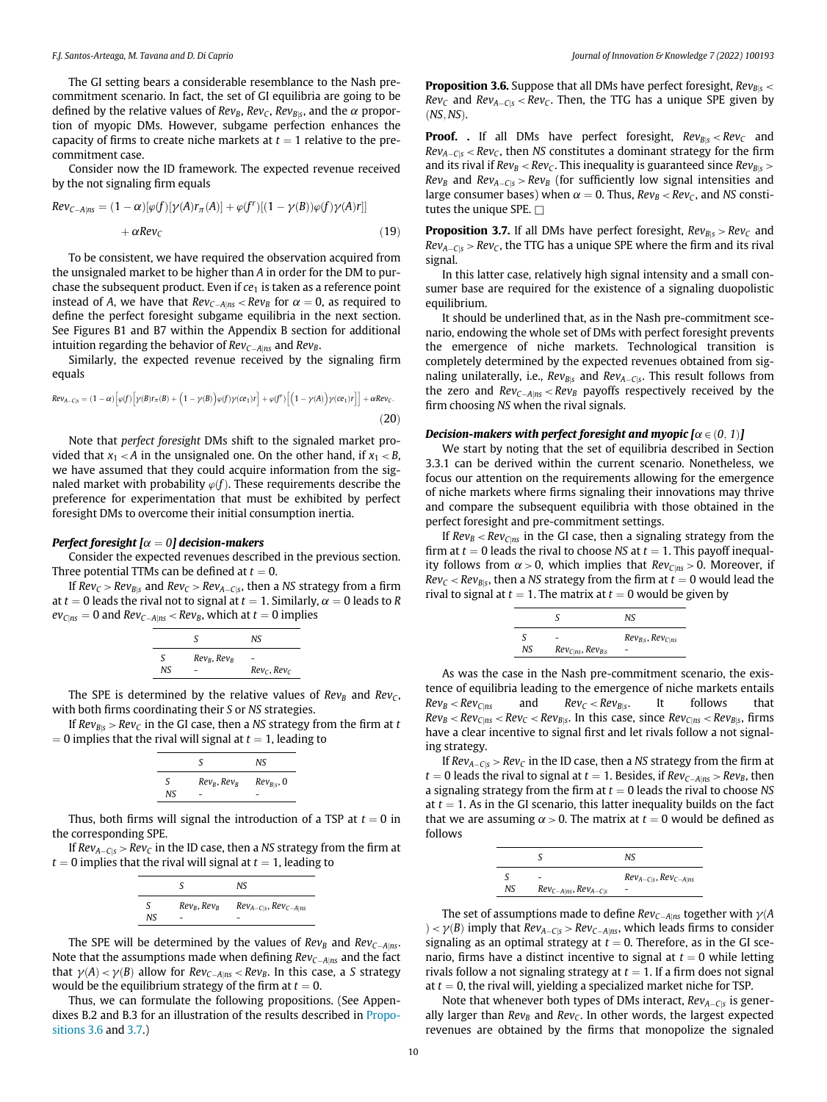The GI setting bears a considerable resemblance to the Nash precommitment scenario. In fact, the set of GI equilibria are going to be defined by the relative values of  $Rev_B$ ,  $Rev_C$ ,  $Rev_{B|S}$ , and the  $\alpha$  proportion of myopic DMs. However, subgame perfection enhances the capacity of firms to create niche markets at  $t = 1$  relative to the precommitment case.

Consider now the ID framework. The expected revenue received by the not signaling firm equals

$$
Rev_{C-A|ns} = (1 - \alpha)[\varphi(f)[\gamma(A)r_{\pi}(A)] + \varphi(f')[(1 - \gamma(B))\varphi(f)\gamma(A)r]]
$$
  
+  $\alpha Rev_C$  (19)

To be consistent, we have required the observation acquired from the unsignaled market to be higher than A in order for the DM to purchase the subsequent product. Even if  $ce<sub>1</sub>$  is taken as a reference point instead of A, we have that  $Rev_{C-A|ns} < Rev_B$  for  $\alpha = 0$ , as required to define the perfect foresight subgame equilibria in the next section. See Figures B1 and B7 within the Appendix B section for additional intuition regarding the behavior of  $Rev_{C-Alns}$  and  $Rev_B$ .

Similarly, the expected revenue received by the signaling firm equals

$$
Rev_{A-C|S} = (1 - \alpha) \Big[ \varphi(f) \Big[ \gamma(B)r_{\pi}(B) + \Big(1 - \gamma(B)\Big) \varphi(f) \gamma(c\mathbf{c}_1)r \Big] + \varphi(f^r) \Big[ \Big(1 - \gamma(A)\Big) \gamma(c\mathbf{c}_1)r \Big] \Big] + \alpha Rev_C.
$$
\n(20)

Note that perfect foresight DMs shift to the signaled market provided that  $x_1 < A$  in the unsignaled one. On the other hand, if  $x_1 < B$ , we have assumed that they could acquire information from the signaled market with probability  $\varphi(f)$ . These requirements describe the preference for experimentation that must be exhibited by perfect foresight DMs to overcome their initial consumption inertia.

#### Perfect foresight  $\alpha = 0$ ] decision-makers

Consider the expected revenues described in the previous section. Three potential TTMs can be defined at  $t = 0$ .

If  $Rev_C > Rev_{B|S}$  and  $Rev_C > Rev_{A-C|S}$ , then a NS strategy from a firm at  $t = 0$  leads the rival not to signal at  $t = 1$ . Similarly,  $\alpha = 0$  leads to R  $ev_{C|ns} = 0$  and  $Rev_{C-A|ns} < Rev_B$ , which at  $t = 0$  implies

|          | ς              | NS.               |
|----------|----------------|-------------------|
| S<br>NS. | $Rev_B, Rev_B$ | $Rev_C$ , $Rev_C$ |

The SPE is determined by the relative values of  $Rev_B$  and  $Rev_C$ , with both firms coordinating their S or NS strategies.

If  $Rev_{B|S} > Rev_C$  in the GI case, then a NS strategy from the firm at t  $= 0$  implies that the rival will signal at  $t = 1$ , leading to

|          | S              | NS              |
|----------|----------------|-----------------|
| S<br>NS. | $Rev_B, Rev_B$ | $Rev_{B S}$ , 0 |

Thus, both firms will signal the introduction of a TSP at  $t = 0$  in the corresponding SPE.

If  $Rev_{A-C|s} > Rev_C$  in the ID case, then a NS strategy from the firm at  $t = 0$  implies that the rival will signal at  $t = 1$ , leading to

|     |                | NS.                            |
|-----|----------------|--------------------------------|
| S   | $Rev_B, Rev_B$ | $Rev_{A-C S}$ , $Rev_{C-A ns}$ |
| NS. |                |                                |

The SPE will be determined by the values of  $Rev_B$  and  $Rev_{C-A|ns}$ . Note that the assumptions made when defining  $Rev_{C-A|ns}$  and the fact that  $\gamma(A) < \gamma(B)$  allow for  $Rev_{C-A|ns} < Rev_B$ . In this case, a S strategy would be the equilibrium strategy of the firm at  $t = 0$ .

Thus, we can formulate the following propositions. (See Appendixes B.2 and B.3 for an illustration of the results described in Propositions 3.6 and 3.7.)

**Proposition 3.6.** Suppose that all DMs have perfect foresight,  $Rev_{B|S}$  <  $Rev_C$  and  $Rev_{A-C|S} < Rev_C$ . Then, the TTG has a unique SPE given by  $(NS, NS)$ .

**Proof.** . If all DMs have perfect foresight,  $Rev_{B|S} < Rev_C$  and  $Rev_{A-C|S}$  <  $Rev_C$ , then NS constitutes a dominant strategy for the firm and its rival if  $Rev_B < Rev_C$ . This inequality is guaranteed since  $Rev_{B|S} >$  $Rev_B$  and  $Rev_{A-C|S} > Rev_B$  (for sufficiently low signal intensities and large consumer bases) when  $\alpha = 0$ . Thus,  $Rev_B < Rev_C$ , and NS constitutes the unique SPE.  $\Box$ 

**Proposition 3.7.** If all DMs have perfect foresight,  $Rev_{BIS} > Rev_C$  and  $Rev_{A-C|S} > Rev_C$ , the TTG has a unique SPE where the firm and its rival signal.

In this latter case, relatively high signal intensity and a small consumer base are required for the existence of a signaling duopolistic equilibrium.

It should be underlined that, as in the Nash pre-commitment scenario, endowing the whole set of DMs with perfect foresight prevents the emergence of niche markets. Technological transition is completely determined by the expected revenues obtained from signaling unilaterally, i.e.,  $Rev_{B|S}$  and  $Rev_{A-C|S}$ . This result follows from the zero and  $Rev_{C-A|ns} < Rev_B$  payoffs respectively received by the firm choosing NS when the rival signals.

**Decision-makers with perfect foresight and myopic [** $\alpha \in (0, 1)$ ]<br>We start by noting that the set of equilibria described in Section 3.3.1 can be derived within the current scenario. Nonetheless, we focus our attention on the requirements allowing for the emergence of niche markets where firms signaling their innovations may thrive and compare the subsequent equilibria with those obtained in the perfect foresight and pre-commitment settings.

If  $Rev_B < Rev_{C|ns}$  in the GI case, then a signaling strategy from the firm at  $t = 0$  leads the rival to choose NS at  $t = 1$ . This payoff inequality follows from  $\alpha > 0$ , which implies that  $ReV_{C|ns} > 0$ . Moreover, if  $Rev_C < Rev_{B|S}$ , then a NS strategy from the firm at  $t = 0$  would lead the rival to signal at  $t = 1$ . The matrix at  $t = 0$  would be given by

|     |                            | Nς                         |
|-----|----------------------------|----------------------------|
| NS. | $Rev_{C ns}$ , $Rev_{B s}$ | $Rev_{B S}$ , $Rev_{C RS}$ |
|     |                            |                            |

As was the case in the Nash pre-commitment scenario, the existence of equilibria leading to the emergence of niche markets entails  $Rev_B < Rev_{C|ns}$  and  $Rev_C < Rev_{B|s}$ . It follows that  $Rev_{B|ns}$  and  $Rev_{C} < Rev_{B|s}$ , it follows that  $Rev_B < Rev_{C|ns} < Rev_C < Rev_{B|s}$ . In this case, since  $Rev_{C|ns} < Rev_{B|s}$ , firms have a clear incontinue to circul first and let rivels follow a not circul have a clear incentive to signal first and let rivals follow a not signaling strategy.

If  $Rev_{A-C|s} > Rev_C$  in the ID case, then a NS strategy from the firm at  $t = 0$  leads the rival to signal at  $t = 1$ . Besides, if  $ReV_{C-A|ns} > ReV_B$ , then a signaling strategy from the firm at  $t = 0$  leads the rival to choose NS at  $t = 1$ . As in the GI scenario, this latter inequality builds on the fact that we are assuming  $\alpha > 0$ . The matrix at  $t = 0$  would be defined as follows

|     |                                | NS                             |
|-----|--------------------------------|--------------------------------|
| NS. | $Rev_{C-Alns}$ , $Rev_{A-Cls}$ | $Rev_{A-C S}$ , $Rev_{C-A ns}$ |

The set of assumptions made to define  $Rev_{C-A|ns}$  together with  $\gamma(A)$  $\rho > \gamma(B)$  imply that  $Rev_{A-C|S} > Rev_{C-A|NS}$ , which leads firms to consider signaling as an optimal strategy at  $t = 0$ . Therefore, as in the GI scenario, firms have a distinct incentive to signal at  $t = 0$  while letting rivals follow a not signaling strategy at  $t = 1$ . If a firm does not signal at  $t = 0$ , the rival will, yielding a specialized market niche for TSP.

Note that whenever both types of DMs interact,  $Rev_{A-C|S}$  is generally larger than  $Rev_B$  and  $Rev_C$ . In other words, the largest expected revenues are obtained by the firms that monopolize the signaled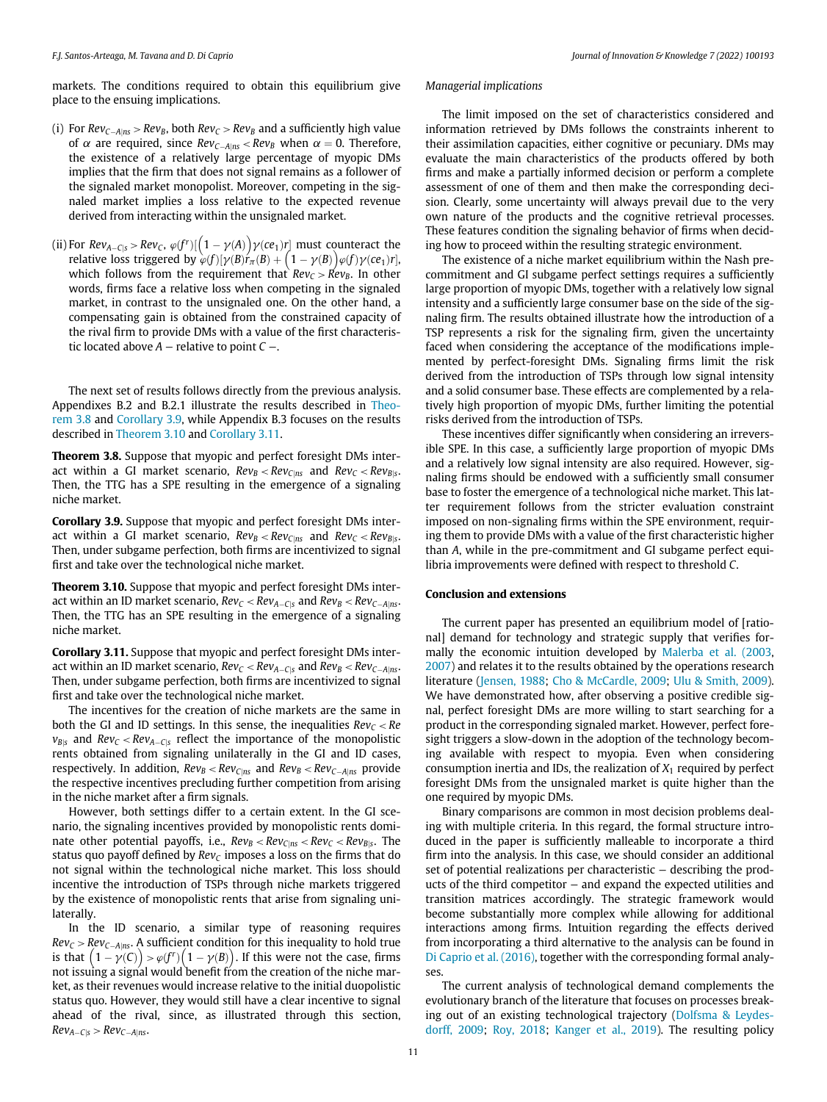markets. The conditions required to obtain this equilibrium give place to the ensuing implications.

- (i) For  $Rev_{C-A|ns} > Rev_B$ , both  $Rev_C > Rev_B$  and a sufficiently high value of  $\alpha$  are required, since  $ReV_{C-A|ns}$  <  $ReV_B$  when  $\alpha = 0$ . Therefore, the existence of a relatively large percentage of myopic DMs implies that the firm that does not signal remains as a follower of the signaled market monopolist. Moreover, competing in the signaled market implies a loss relative to the expected revenue derived from interacting within the unsignaled market.
- (ii) For  $Rev_{A-C|S} > Rev_C$ ,  $\varphi(f^r)[(1 \gamma(A))\gamma(c\mathbf{e}_1)r]$  must counteract the relative loss triggered by  $\varphi(f)[\gamma(B)r_{\pi}(B) + (1 \gamma(B))\varphi(f)\gamma(c\mathbf{e}_1)r]$ . relative loss triggered by  $\varphi(f)[\gamma(B)]r_{\pi}(B) + (1-\gamma(B))\varphi(f)\gamma(c\epsilon_1)r$ ,<br>which follows from the requirement that  $Re\nu_c > Re\nu_b$ . In other which follows from the requirement that  $Rev_C > Rev_B$ . In other words, firms face a relative loss when competing in the signaled market, in contrast to the unsignaled one. On the other hand, a compensating gain is obtained from the constrained capacity of the rival firm to provide DMs with a value of the first characteristic located above  $A$  – relative to point  $C$  –.

The next set of results follows directly from the previous analysis. Appendixes B.2 and B.2.1 illustrate the results described in Theorem 3.8 and Corollary 3.9, while Appendix B.3 focuses on the results described in Theorem 3.10 and Corollary 3.11.

Theorem 3.8. Suppose that myopic and perfect foresight DMs interact within a GI market scenario,  $Rev_B < Rev_{C|ns}$  and  $Rev_C < Rev_{B|s}$ . Then, the TTG has a SPE resulting in the emergence of a signaling niche market.

Corollary 3.9. Suppose that myopic and perfect foresight DMs interact within a GI market scenario,  $Rev_B < Rev_{C|ns}$  and  $Rev_C < Rev_{B|s}$ . Then, under subgame perfection, both firms are incentivized to signal first and take over the technological niche market.

Theorem 3.10. Suppose that myopic and perfect foresight DMs interact within an ID market scenario,  $Rev_C < Rev_{A-C|S}$  and  $Rev_B < Rev_{C-A|ns}$ . Then, the TTG has an SPE resulting in the emergence of a signaling niche market.

Corollary 3.11. Suppose that myopic and perfect foresight DMs interact within an ID market scenario,  $Rev_C < Rev_{A-CIS}$  and  $Rev_B < Rev_{C-A|ns}$ . Then, under subgame perfection, both firms are incentivized to signal first and take over the technological niche market.

The incentives for the creation of niche markets are the same in both the GI and ID settings. In this sense, the inequalities  $Rev_C < Re$  $v_{B|S}$  and  $Rev_C < Rev_{A-C|S}$  reflect the importance of the monopolistic rents obtained from signaling unilaterally in the GI and ID cases, respectively. In addition,  $Rev_B < Rev_{C|ns}$  and  $Rev_B < Rev_{C-A|ns}$  provide the respective incentives precluding further competition from arising in the niche market after a firm signals.

However, both settings differ to a certain extent. In the GI scenario, the signaling incentives provided by monopolistic rents dominate other potential payoffs, i.e.,  $Rev_B < Rev_{C|ns} < Rev_C < Rev_{B|s}$ . The status quo payoff defined by  $Rev_C$  imposes a loss on the firms that do not signal within the technological niche market. This loss should incentive the introduction of TSPs through niche markets triggered by the existence of monopolistic rents that arise from signaling unilaterally.

In the ID scenario, a similar type of reasoning requires  $Rev_C > Rev_{C-A|ns}$ . A sufficient condition for this inequality to hold true is that  $(1 - \gamma(C)) > \varphi(f^r)(1 - \gamma(B))$ . If this were not the case, firms not issuing a signal would benefit from the creation of the niche marnot issuing a signal would benefit from the creation of the niche market, as their revenues would increase relative to the initial duopolistic status quo. However, they would still have a clear incentive to signal ahead of the rival, since, as illustrated through this section,  $Rev_{A-C|S} > Rev_{C-A|ns}$ .

#### Managerial implications

The limit imposed on the set of characteristics considered and information retrieved by DMs follows the constraints inherent to their assimilation capacities, either cognitive or pecuniary. DMs may evaluate the main characteristics of the products offered by both firms and make a partially informed decision or perform a complete assessment of one of them and then make the corresponding decision. Clearly, some uncertainty will always prevail due to the very own nature of the products and the cognitive retrieval processes. These features condition the signaling behavior of firms when deciding how to proceed within the resulting strategic environment.

The existence of a niche market equilibrium within the Nash precommitment and GI subgame perfect settings requires a sufficiently large proportion of myopic DMs, together with a relatively low signal intensity and a sufficiently large consumer base on the side of the signaling firm. The results obtained illustrate how the introduction of a TSP represents a risk for the signaling firm, given the uncertainty faced when considering the acceptance of the modifications implemented by perfect-foresight DMs. Signaling firms limit the risk derived from the introduction of TSPs through low signal intensity and a solid consumer base. These effects are complemented by a relatively high proportion of myopic DMs, further limiting the potential risks derived from the introduction of TSPs.

These incentives differ significantly when considering an irreversible SPE. In this case, a sufficiently large proportion of myopic DMs and a relatively low signal intensity are also required. However, signaling firms should be endowed with a sufficiently small consumer base to foster the emergence of a technological niche market. This latter requirement follows from the stricter evaluation constraint imposed on non-signaling firms within the SPE environment, requiring them to provide DMs with a value of the first characteristic higher than A, while in the pre-commitment and GI subgame perfect equilibria improvements were defined with respect to threshold C.

#### Conclusion and extensions

The current paper has presented an equilibrium model of [rational] demand for technology and strategic supply that verifies formally the economic intuition developed by [Malerba et al. \(2003,](#page-11-11) [2007\)](#page-11-12) and relates it to the results obtained by the operations research literature [\(Jensen, 1988;](#page-11-46) [Cho & McCardle, 2009;](#page-11-47) [Ulu & Smith, 2009\)](#page-12-16). We have demonstrated how, after observing a positive credible signal, perfect foresight DMs are more willing to start searching for a product in the corresponding signaled market. However, perfect foresight triggers a slow-down in the adoption of the technology becoming available with respect to myopia. Even when considering consumption inertia and IDs, the realization of  $X_1$  required by perfect foresight DMs from the unsignaled market is quite higher than the one required by myopic DMs.

Binary comparisons are common in most decision problems dealing with multiple criteria. In this regard, the formal structure introduced in the paper is sufficiently malleable to incorporate a third firm into the analysis. In this case, we should consider an additional set of potential realizations per characteristic − describing the products of the third competitor − and expand the expected utilities and transition matrices accordingly. The strategic framework would become substantially more complex while allowing for additional interactions among firms. Intuition regarding the effects derived from incorporating a third alternative to the analysis can be found in [Di Caprio et al. \(2016\)](#page-11-37), together with the corresponding formal analyses.

The current analysis of technological demand complements the evolutionary branch of the literature that focuses on processes breaking out of an existing technological trajectory [\(Dolfsma & Leydes](#page-11-48)[dorff, 2009](#page-11-48); [Roy, 2018](#page-11-49); [Kanger et al., 2019](#page-11-50)). The resulting policy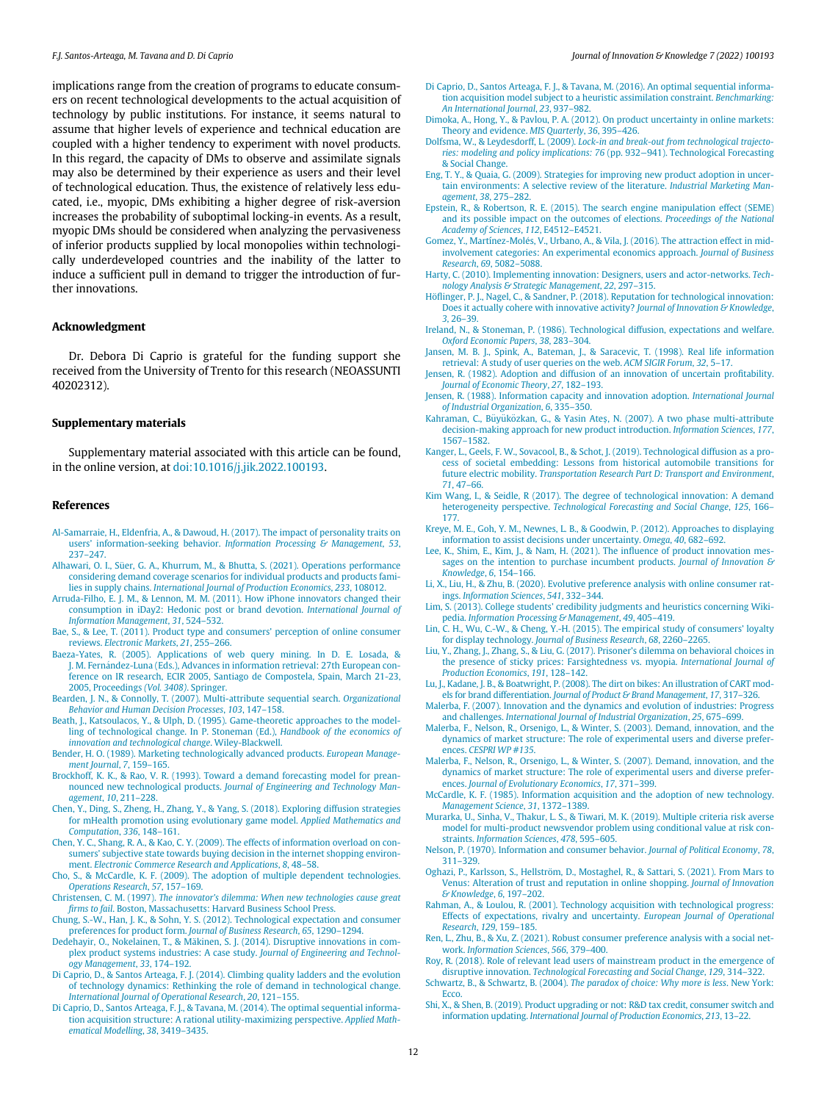<span id="page-11-48"></span><span id="page-11-37"></span><span id="page-11-17"></span><span id="page-11-15"></span>implications range from the creation of programs to educate consumers on recent technological developments to the actual acquisition of technology by public institutions. For instance, it seems natural to assume that higher levels of experience and technical education are coupled with a higher tendency to experiment with novel products. In this regard, the capacity of DMs to observe and assimilate signals may also be determined by their experience as users and their level of technological education. Thus, the existence of relatively less educated, i.e., myopic, DMs exhibiting a higher degree of risk-aversion increases the probability of suboptimal locking-in events. As a result, myopic DMs should be considered when analyzing the pervasiveness of inferior products supplied by local monopolies within technologically underdeveloped countries and the inability of the latter to induce a sufficient pull in demand to trigger the introduction of further innovations.

#### <span id="page-11-28"></span><span id="page-11-10"></span><span id="page-11-9"></span><span id="page-11-8"></span><span id="page-11-7"></span>Acknowledgment

<span id="page-11-31"></span><span id="page-11-24"></span>Dr. Debora Di Caprio is grateful for the funding support she received from the University of Trento for this research (NEOASSUNTI 40202312).

#### <span id="page-11-46"></span><span id="page-11-2"></span>Supplementary materials

<span id="page-11-50"></span>Supplementary material associated with this article can be found, in the online version, at [doi:10.1016/j.jik.2022.100193.](https://doi.org/10.1016/j.jik.2022.100193)

#### <span id="page-11-33"></span>References

- <span id="page-11-22"></span><span id="page-11-18"></span>[Al-Samarraie, H., Eldenfria, A., & Dawoud, H. \(2017\). The impact of personality traits on](http://refhub.elsevier.com/S2444-569X(22)00033-6/sbref0001) users' information-seeking behavior. [Information Processing & Management](http://refhub.elsevier.com/S2444-569X(22)00033-6/sbref0001), 53, 237–[247.](http://refhub.elsevier.com/S2444-569X(22)00033-6/sbref0001)
- <span id="page-11-19"></span><span id="page-11-5"></span>[Alhawari, O. I., S](http://refhub.elsevier.com/S2444-569X(22)00033-6/sbref0002)ü[er, G. A., Khurrum, M., & Bhutta, S. \(2021\). Operations performance](http://refhub.elsevier.com/S2444-569X(22)00033-6/sbref0002) [considering demand coverage scenarios for individual products and products fami](http://refhub.elsevier.com/S2444-569X(22)00033-6/sbref0002)lies in supply chains. [International Journal of Production Economics](http://refhub.elsevier.com/S2444-569X(22)00033-6/sbref0002), 233, 108012.
- <span id="page-11-39"></span><span id="page-11-34"></span><span id="page-11-23"></span>[Arruda-Filho, E. J. M., & Lennon, M. M. \(2011\). How iPhone innovators changed their](http://refhub.elsevier.com/S2444-569X(22)00033-6/sbref0003) [consumption in iDay2: Hedonic post or brand devotion.](http://refhub.elsevier.com/S2444-569X(22)00033-6/sbref0003) International Journal of [Information Management](http://refhub.elsevier.com/S2444-569X(22)00033-6/sbref0003), 31, 524–532.
- <span id="page-11-27"></span><span id="page-11-14"></span>[Bae, S., & Lee, T. \(2011\). Product type and consumers](http://refhub.elsevier.com/S2444-569X(22)00033-6/sbref0004)' perception of online consumer reviews. [Electronic Markets](http://refhub.elsevier.com/S2444-569X(22)00033-6/sbref0004), 21, 255–266.
- <span id="page-11-45"></span><span id="page-11-25"></span>[Baeza-Yates, R. \(2005\). Applications of web query mining. In D. E. Losada, &](http://refhub.elsevier.com/S2444-569X(22)00033-6/sbref0005) [J. M. Fernandez-Luna \(Eds.\), Advances in information retrieval: 27th European con](http://refhub.elsevier.com/S2444-569X(22)00033-6/sbref0005) [ference on IR research, ECIR 2005, Santiago de Compostela, Spain, March 21-23,](http://refhub.elsevier.com/S2444-569X(22)00033-6/sbref0005) [2005, Proceedings](http://refhub.elsevier.com/S2444-569X(22)00033-6/sbref0005) (Vol. 3408). Springer.
- <span id="page-11-38"></span><span id="page-11-6"></span><span id="page-11-0"></span>[Bearden, J. N., & Connolly, T. \(2007\). Multi-attribute sequential search.](http://refhub.elsevier.com/S2444-569X(22)00033-6/sbref0007) Organizational [Behavior and Human Decision Processes](http://refhub.elsevier.com/S2444-569X(22)00033-6/sbref0007), 103, 147–158.
- <span id="page-11-29"></span><span id="page-11-11"></span>[Beath, J., Katsoulacos, Y., & Ulph, D. \(1995\). Game-theoretic approaches to the model](http://refhub.elsevier.com/S2444-569X(22)00033-6/sbref0008)[ling of technological change. In P. Stoneman \(Ed.\),](http://refhub.elsevier.com/S2444-569X(22)00033-6/sbref0008) Handbook of the economics of [innovation and technological change](http://refhub.elsevier.com/S2444-569X(22)00033-6/sbref0008). Wiley-Blackwell.
- <span id="page-11-13"></span><span id="page-11-12"></span>[Bender, H. O. \(1989\). Marketing technologically advanced products.](http://refhub.elsevier.com/S2444-569X(22)00033-6/sbref0009) European Manage[ment Journal](http://refhub.elsevier.com/S2444-569X(22)00033-6/sbref0009), 7, 159–165.
- <span id="page-11-41"></span>[Brockhoff, K. K., & Rao, V. R. \(1993\). Toward a demand forecasting model for prean](http://refhub.elsevier.com/S2444-569X(22)00033-6/sbref0010)nounced new technological products. [Journal of Engineering and Technology Man](http://refhub.elsevier.com/S2444-569X(22)00033-6/sbref0010)[agement](http://refhub.elsevier.com/S2444-569X(22)00033-6/sbref0010), 10, 211–228.
- <span id="page-11-32"></span><span id="page-11-30"></span><span id="page-11-3"></span>[Chen, Y., Ding, S., Zheng, H., Zhang, Y., & Yang, S. \(2018\). Exploring diffusion strategies](http://refhub.elsevier.com/S2444-569X(22)00033-6/sbref0011) [for mHealth promotion using evolutionary game model.](http://refhub.elsevier.com/S2444-569X(22)00033-6/sbref0011) Applied Mathematics and [Computation](http://refhub.elsevier.com/S2444-569X(22)00033-6/sbref0011), 336, 148–161.
- <span id="page-11-40"></span><span id="page-11-21"></span>[Chen, Y. C., Shang, R. A., & Kao, C. Y. \(2009\). The effects of information overload on con](http://refhub.elsevier.com/S2444-569X(22)00033-6/sbref0012)sumers' [subjective state towards buying decision in the internet shopping environ](http://refhub.elsevier.com/S2444-569X(22)00033-6/sbref0012)ment. [Electronic Commerce Research and Applications](http://refhub.elsevier.com/S2444-569X(22)00033-6/sbref0012), 8, 48–58.
- <span id="page-11-47"></span><span id="page-11-26"></span>[Cho, S., & McCardle, K. F. \(2009\). The adoption of multiple dependent technologies.](http://refhub.elsevier.com/S2444-569X(22)00033-6/sbref0013) [Operations Research](http://refhub.elsevier.com/S2444-569X(22)00033-6/sbref0013), 57, 157–169.
- <span id="page-11-44"></span><span id="page-11-42"></span>Christensen, C. M. (1997). The innovator'[s dilemma: When new technologies cause great](http://refhub.elsevier.com/S2444-569X(22)00033-6/sbref0014) firms to fail[. Boston, Massachusetts: Harvard Business School Press.](http://refhub.elsevier.com/S2444-569X(22)00033-6/sbref0014)
- <span id="page-11-16"></span>[Chung, S.-W., Han, J. K., & Sohn, Y. S. \(2012\). Technological expectation and consumer](http://refhub.elsevier.com/S2444-569X(22)00033-6/sbref0015)
- <span id="page-11-43"></span><span id="page-11-35"></span>[preferences for product form.](http://refhub.elsevier.com/S2444-569X(22)00033-6/sbref0015) Journal of Business Research, 65, 1290–1294.<br>[Dedehayir, O., Nokelainen, T., & M](http://refhub.elsevier.com/S2444-569X(22)00033-6/sbref0017)ä[kinen, S. J. \(2014\). Disruptive innovations in com](http://refhub.elsevier.com/S2444-569X(22)00033-6/sbref0017)[plex product systems industries: A case study.](http://refhub.elsevier.com/S2444-569X(22)00033-6/sbref0017) Journal of Engineering and Technol[ogy Management](http://refhub.elsevier.com/S2444-569X(22)00033-6/sbref0017), 33, 174–192.
- <span id="page-11-49"></span><span id="page-11-20"></span><span id="page-11-1"></span>[Di Caprio, D., & Santos Arteaga, F. J. \(2014\). Climbing quality ladders and the evolution](http://refhub.elsevier.com/S2444-569X(22)00033-6/sbref0018) [of technology dynamics: Rethinking the role of demand in technological change.](http://refhub.elsevier.com/S2444-569X(22)00033-6/sbref0018) [International Journal of Operational Research](http://refhub.elsevier.com/S2444-569X(22)00033-6/sbref0018), 20, 121–155.
- <span id="page-11-36"></span><span id="page-11-4"></span>[Di Caprio, D., Santos Arteaga, F. J., & Tavana, M. \(2014\). The optimal sequential informa](http://refhub.elsevier.com/S2444-569X(22)00033-6/sbref0019)[tion acquisition structure: A rational utility-maximizing perspective.](http://refhub.elsevier.com/S2444-569X(22)00033-6/sbref0019) Applied Math[ematical Modelling](http://refhub.elsevier.com/S2444-569X(22)00033-6/sbref0019), 38, 3419–3435.
- [Di Caprio, D., Santos Arteaga, F. J., & Tavana, M. \(2016\). An optimal sequential informa](http://refhub.elsevier.com/S2444-569X(22)00033-6/sbref0020)[tion acquisition model subject to a heuristic assimilation constraint.](http://refhub.elsevier.com/S2444-569X(22)00033-6/sbref0020) Benchmarking: [An International Journal](http://refhub.elsevier.com/S2444-569X(22)00033-6/sbref0020), 23, 937–982.
- [Dimoka, A., Hong, Y., & Pavlou, P. A. \(2012\). On product uncertainty in online markets:](http://refhub.elsevier.com/S2444-569X(22)00033-6/sbref0021) [Theory and evidence.](http://refhub.elsevier.com/S2444-569X(22)00033-6/sbref0021) MIS Quarterly, 36, 395–426.
- Dolfsma, W., & Leydesdorff, L. (2009). [Lock-in and break-out from technological trajecto](http://refhub.elsevier.com/S2444-569X(22)00033-6/sbref0022)[ries: modeling and policy implications: 76](http://refhub.elsevier.com/S2444-569X(22)00033-6/sbref0022) (pp. 932−941). Technological Forecasting [& Social Change.](http://refhub.elsevier.com/S2444-569X(22)00033-6/sbref0022)
- [Eng, T. Y., & Quaia, G. \(2009\). Strategies for improving new product adoption in uncer](http://refhub.elsevier.com/S2444-569X(22)00033-6/sbref0023)[tain environments: A selective review of the literature.](http://refhub.elsevier.com/S2444-569X(22)00033-6/sbref0023) Industrial Marketing Man[agement](http://refhub.elsevier.com/S2444-569X(22)00033-6/sbref0023), 38, 275–282.
- [Epstein, R., & Robertson, R. E. \(2015\). The search engine manipulation effect \(SEME\)](http://refhub.elsevier.com/S2444-569X(22)00033-6/sbref0024) [and its possible impact on the outcomes of elections.](http://refhub.elsevier.com/S2444-569X(22)00033-6/sbref0024) Proceedings of the National [Academy of Sciences](http://refhub.elsevier.com/S2444-569X(22)00033-6/sbref0024), 112, E4512–E4521.
- [Gomez, Y., Martínez-Mol](http://refhub.elsevier.com/S2444-569X(22)00033-6/sbref0025)é[s, V., Urbano, A., & Vila, J. \(2016\). The attraction effect in mid](http://refhub.elsevier.com/S2444-569X(22)00033-6/sbref0025) [involvement categories: An experimental economics approach.](http://refhub.elsevier.com/S2444-569X(22)00033-6/sbref0025) Journal of Business [Research](http://refhub.elsevier.com/S2444-569X(22)00033-6/sbref0025), 69, 5082–5088.
- [Harty, C. \(2010\). Implementing innovation: Designers, users and actor-networks.](http://refhub.elsevier.com/S2444-569X(22)00033-6/sbref0026) Tech[nology Analysis & Strategic Management](http://refhub.elsevier.com/S2444-569X(22)00033-6/sbref0026), 22, 297–315.
- [H](http://refhub.elsevier.com/S2444-569X(22)00033-6/sbref0027)öfl[inger, P. J., Nagel, C., & Sandner, P. \(2018\). Reputation for technological innovation:](http://refhub.elsevier.com/S2444-569X(22)00033-6/sbref0027) [Does it actually cohere with innovative activity?](http://refhub.elsevier.com/S2444-569X(22)00033-6/sbref0027) Journal of Innovation & Knowledge, 3[, 26](http://refhub.elsevier.com/S2444-569X(22)00033-6/sbref0027)–39.
- [Ireland, N., & Stoneman, P. \(1986\). Technological diffusion, expectations and welfare.](http://refhub.elsevier.com/S2444-569X(22)00033-6/sbref0028) [Oxford Economic Papers](http://refhub.elsevier.com/S2444-569X(22)00033-6/sbref0028), 38, 283–304.
- [Jansen, M. B. J., Spink, A., Bateman, J., & Saracevic, T. \(1998\). Real life information](http://refhub.elsevier.com/S2444-569X(22)00033-6/sbref0029) [retrieval: A study of user queries on the web.](http://refhub.elsevier.com/S2444-569X(22)00033-6/sbref0029) ACM SIGIR Forum, 32, 5–17.
- [Jensen, R. \(1982\). Adoption and diffusion of an innovation of uncertain pro](http://refhub.elsevier.com/S2444-569X(22)00033-6/sbref0030)fitability. [Journal of Economic Theory](http://refhub.elsevier.com/S2444-569X(22)00033-6/sbref0030), 27, 182–193.
- [Jensen, R. \(1988\). Information capacity and innovation adoption.](http://refhub.elsevier.com/S2444-569X(22)00033-6/sbref0031) International Journal [of Industrial Organization](http://refhub.elsevier.com/S2444-569X(22)00033-6/sbref0031), 6, 335–350.
- Kahraman, C., Büyü[k](http://refhub.elsevier.com/S2444-569X(22)00033-6/sbref0032)ö[zkan, G., & Yasin Ate](http://refhub.elsevier.com/S2444-569X(22)00033-6/sbref0032)ş[, N. \(2007\). A two phase multi-attribute](http://refhub.elsevier.com/S2444-569X(22)00033-6/sbref0032) [decision-making approach for new product introduction.](http://refhub.elsevier.com/S2444-569X(22)00033-6/sbref0032) Information Sciences, 177, 1567–[1582.](http://refhub.elsevier.com/S2444-569X(22)00033-6/sbref0032)
- [Kanger, L., Geels, F. W., Sovacool, B., & Schot, J. \(2019\). Technological diffusion as a pro](http://refhub.elsevier.com/S2444-569X(22)00033-6/sbref0033)[cess of societal embedding: Lessons from historical automobile transitions for](http://refhub.elsevier.com/S2444-569X(22)00033-6/sbref0033) future electric mobility. [Transportation Research Part D: Transport and Environment](http://refhub.elsevier.com/S2444-569X(22)00033-6/sbref0033), 71[, 47](http://refhub.elsevier.com/S2444-569X(22)00033-6/sbref0033)–66.
- [Kim Wang, I., & Seidle, R \(2017\). The degree of technological innovation: A demand](http://refhub.elsevier.com/S2444-569X(22)00033-6/sbref0034) heterogeneity perspective. [Technological Forecasting and Social Change](http://refhub.elsevier.com/S2444-569X(22)00033-6/sbref0034), 125, 166– [177.](http://refhub.elsevier.com/S2444-569X(22)00033-6/sbref0034)
- [Kreye, M. E., Goh, Y. M., Newnes, L. B., & Goodwin, P. \(2012\). Approaches to displaying](http://refhub.elsevier.com/S2444-569X(22)00033-6/sbref0035) [information to assist decisions under uncertainty.](http://refhub.elsevier.com/S2444-569X(22)00033-6/sbref0035) Omega, 40, 682–692.
- [Lee, K., Shim, E., Kim, J., & Nam, H. \(2021\). The in](http://refhub.elsevier.com/S2444-569X(22)00033-6/sbref0037)fluence of product innovation mes[sages on the intention to purchase incumbent products.](http://refhub.elsevier.com/S2444-569X(22)00033-6/sbref0037) Journal of Innovation & [Knowledge](http://refhub.elsevier.com/S2444-569X(22)00033-6/sbref0037), 6, 154–166.
- [Li, X., Liu, H., & Zhu, B. \(2020\). Evolutive preference analysis with online consumer rat](http://refhub.elsevier.com/S2444-569X(22)00033-6/sbref0039)ings. [Information Sciences](http://refhub.elsevier.com/S2444-569X(22)00033-6/sbref0039), 541, 332–344.
- Lim, S. (2013). College students' [credibility judgments and heuristics concerning Wiki](http://refhub.elsevier.com/S2444-569X(22)00033-6/sbref0040)pedia. [Information Processing & Management](http://refhub.elsevier.com/S2444-569X(22)00033-6/sbref0040), 49, 405–419.
- [Lin, C. H., Wu, C.-W., & Cheng, Y.-H. \(2015\). The empirical study of consumers](http://refhub.elsevier.com/S2444-569X(22)00033-6/sbref0041)' loyalty for display technology. [Journal of Business Research](http://refhub.elsevier.com/S2444-569X(22)00033-6/sbref0041), 68, 2260–2265.
- [Liu, Y., Zhang, J., Zhang, S., & Liu, G. \(2017\). Prisoner](http://refhub.elsevier.com/S2444-569X(22)00033-6/sbref0042)'s dilemma on behavioral choices in [the presence of sticky prices: Farsightedness vs. myopia.](http://refhub.elsevier.com/S2444-569X(22)00033-6/sbref0042) International Journal of [Production Economics](http://refhub.elsevier.com/S2444-569X(22)00033-6/sbref0042), 191, 128–142.
- [Lu, J., Kadane, J. B., & Boatwright, P. \(2008\). The dirt on bikes: An illustration of CART mod-](http://refhub.elsevier.com/S2444-569X(22)00033-6/sbref0043)els for brand differentiation. [Journal of Product & Brand Management](http://refhub.elsevier.com/S2444-569X(22)00033-6/sbref0043), 17, 317–326.
- [Malerba, F. \(2007\). Innovation and the dynamics and evolution of industries: Progress](http://refhub.elsevier.com/S2444-569X(22)00033-6/sbref0044) and challenges. [International Journal of Industrial Organization](http://refhub.elsevier.com/S2444-569X(22)00033-6/sbref0044), 25, 675–699.
- [Malerba, F., Nelson, R., Orsenigo, L., & Winter, S. \(2003\). Demand, innovation, and the](http://refhub.elsevier.com/S2444-569X(22)00033-6/sbref0045) [dynamics of market structure: The role of experimental users and diverse prefer](http://refhub.elsevier.com/S2444-569X(22)00033-6/sbref0045)ences. [CESPRI WP #135](http://refhub.elsevier.com/S2444-569X(22)00033-6/sbref0045).
- [Malerba, F., Nelson, R., Orsenigo, L., & Winter, S. \(2007\). Demand, innovation, and the](http://refhub.elsevier.com/S2444-569X(22)00033-6/sbref0046) [dynamics of market structure: The role of experimental users and diverse prefer](http://refhub.elsevier.com/S2444-569X(22)00033-6/sbref0046)ences. [Journal of Evolutionary Economics](http://refhub.elsevier.com/S2444-569X(22)00033-6/sbref0046), 17, 371–399.
- [McCardle, K. F. \(1985\). Information acquisition and the adoption of new technology.](http://refhub.elsevier.com/S2444-569X(22)00033-6/sbref0047) [Management Science](http://refhub.elsevier.com/S2444-569X(22)00033-6/sbref0047), 31, 1372–1389.
- [Murarka, U., Sinha, V., Thakur, L. S., & Tiwari, M. K. \(2019\). Multiple criteria risk averse](http://refhub.elsevier.com/S2444-569X(22)00033-6/sbref0048) [model for multi-product newsvendor problem using conditional value at risk con](http://refhub.elsevier.com/S2444-569X(22)00033-6/sbref0048)straints. [Information Sciences](http://refhub.elsevier.com/S2444-569X(22)00033-6/sbref0048), 478, 595–605.
- [Nelson, P. \(1970\). Information and consumer behavior.](http://refhub.elsevier.com/S2444-569X(22)00033-6/sbref0049) Journal of Political Economy, 78, 311–[329.](http://refhub.elsevier.com/S2444-569X(22)00033-6/sbref0049)
- Oghazi, P., Karlsson, S., Hellström, D., Mostaghel, R., & Sattari, S. (2021). From Mars to [Venus: Alteration of trust and reputation in online shopping.](http://refhub.elsevier.com/S2444-569X(22)00033-6/sbref0050) Journal of Innovation [& Knowledge](http://refhub.elsevier.com/S2444-569X(22)00033-6/sbref0050), 6, 197–202.
- [Rahman, A., & Loulou, R. \(2001\). Technology acquisition with technological progress:](http://refhub.elsevier.com/S2444-569X(22)00033-6/sbref0051) [Effects of expectations, rivalry and uncertainty.](http://refhub.elsevier.com/S2444-569X(22)00033-6/sbref0051) European Journal of Operational [Research](http://refhub.elsevier.com/S2444-569X(22)00033-6/sbref0051), 129, 159–185.
- [Ren, L., Zhu, B., & Xu, Z. \(2021\). Robust consumer preference analysis with a social net](http://refhub.elsevier.com/S2444-569X(22)00033-6/sbref0052)work. [Information Sciences](http://refhub.elsevier.com/S2444-569X(22)00033-6/sbref0052), 566, 379–400.
- [Roy, R. \(2018\). Role of relevant lead users of mainstream product in the emergence of](http://refhub.elsevier.com/S2444-569X(22)00033-6/sbref0053) disruptive innovation. [Technological Forecasting and Social Change](http://refhub.elsevier.com/S2444-569X(22)00033-6/sbref0053), 129, 314–322.
- Schwartz, B., & Schwartz, B. (2004). [The paradox of choice: Why more is less](http://refhub.elsevier.com/S2444-569X(22)00033-6/sbref0055). New York: **Ecco**
- [Shi, X., & Shen, B. \(2019\). Product upgrading or not: R&D tax credit, consumer switch and](http://refhub.elsevier.com/S2444-569X(22)00033-6/sbref0056) information updating. [International Journal of Production Economics](http://refhub.elsevier.com/S2444-569X(22)00033-6/sbref0056), 213, 13–22.